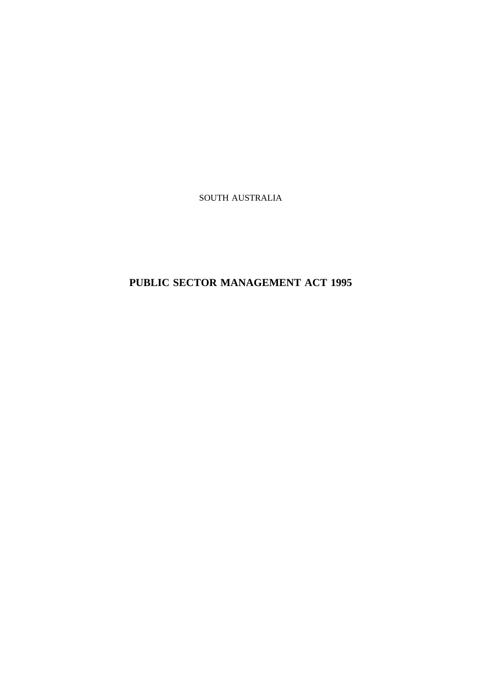SOUTH AUSTRALIA

**PUBLIC SECTOR MANAGEMENT ACT 1995**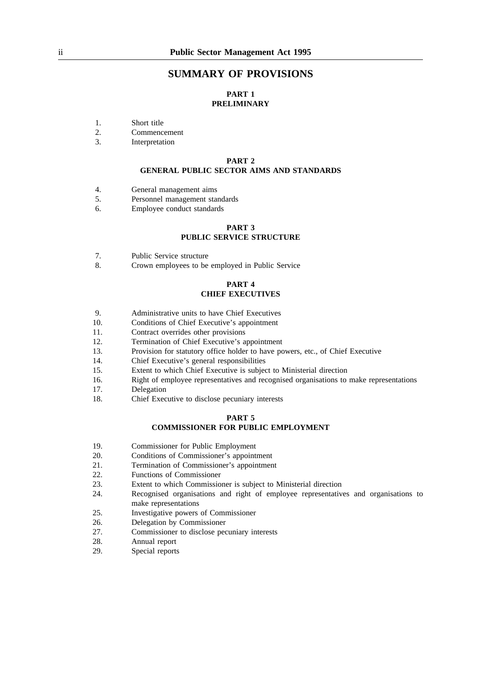# **SUMMARY OF PROVISIONS**

# **PART 1 PRELIMINARY**

- 1. Short title
- 2. Commencement
- 3. Interpretation

### **PART 2 GENERAL PUBLIC SECTOR AIMS AND STANDARDS**

- 4. General management aims
- 5. Personnel management standards
- 6. Employee conduct standards

# **PART 3 PUBLIC SERVICE STRUCTURE**

- 7. Public Service structure
- 8. Crown employees to be employed in Public Service

### **PART 4 CHIEF EXECUTIVES**

- 9. Administrative units to have Chief Executives
- 10. Conditions of Chief Executive's appointment
- 11. Contract overrides other provisions
- 12. Termination of Chief Executive's appointment
- 13. Provision for statutory office holder to have powers, etc., of Chief Executive
- 14. Chief Executive's general responsibilities
- 15. Extent to which Chief Executive is subject to Ministerial direction
- 16. Right of employee representatives and recognised organisations to make representations
- 17. Delegation
- 18. Chief Executive to disclose pecuniary interests

#### **PART 5**

## **COMMISSIONER FOR PUBLIC EMPLOYMENT**

- 19. Commissioner for Public Employment
- 20. Conditions of Commissioner's appointment
- 21. Termination of Commissioner's appointment
- 22. Functions of Commissioner
- 23. Extent to which Commissioner is subject to Ministerial direction
- 24. Recognised organisations and right of employee representatives and organisations to make representations
- 25. Investigative powers of Commissioner
- 26. Delegation by Commissioner
- 27. Commissioner to disclose pecuniary interests
- 28. Annual report
- 29. Special reports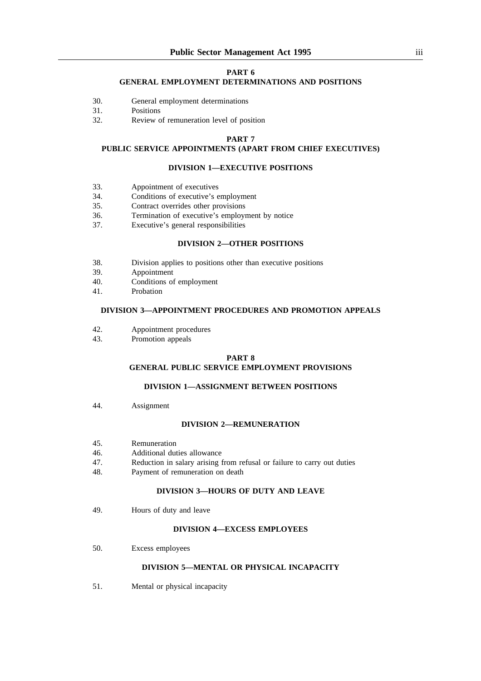### **PART 6**

## **GENERAL EMPLOYMENT DETERMINATIONS AND POSITIONS**

- 30. General employment determinations
- 31. Positions
- 32. Review of remuneration level of position

#### **PART 7**

# **PUBLIC SERVICE APPOINTMENTS (APART FROM CHIEF EXECUTIVES)**

### **DIVISION 1—EXECUTIVE POSITIONS**

- 33. Appointment of executives
- 34. Conditions of executive's employment
- 35. Contract overrides other provisions
- 36. Termination of executive's employment by notice
- 37. Executive's general responsibilities

# **DIVISION 2—OTHER POSITIONS**

- 38. Division applies to positions other than executive positions
- 39. Appointment
- 40. Conditions of employment
- 41. Probation

# **DIVISION 3—APPOINTMENT PROCEDURES AND PROMOTION APPEALS**

- 42. Appointment procedures
- 43. Promotion appeals

### **PART 8 GENERAL PUBLIC SERVICE EMPLOYMENT PROVISIONS**

## **DIVISION 1—ASSIGNMENT BETWEEN POSITIONS**

44. Assignment

#### **DIVISION 2—REMUNERATION**

- 45. Remuneration
- 46. Additional duties allowance
- 47. Reduction in salary arising from refusal or failure to carry out duties
- 48. Payment of remuneration on death

# **DIVISION 3—HOURS OF DUTY AND LEAVE**

49. Hours of duty and leave

## **DIVISION 4—EXCESS EMPLOYEES**

50. Excess employees

## **DIVISION 5—MENTAL OR PHYSICAL INCAPACITY**

51. Mental or physical incapacity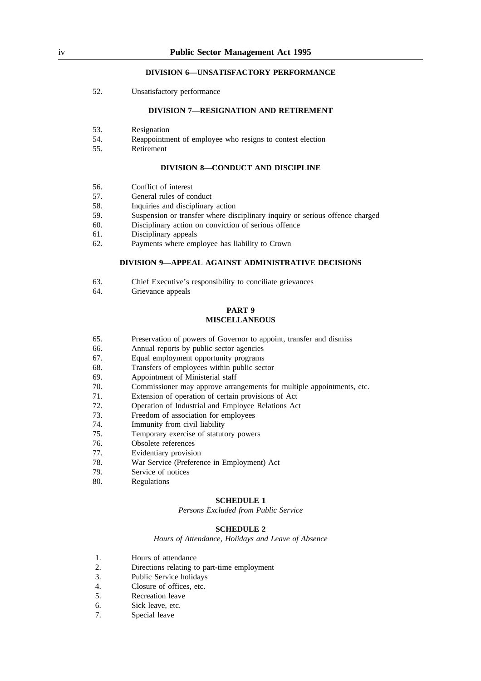# **DIVISION 6—UNSATISFACTORY PERFORMANCE**

52. Unsatisfactory performance

### **DIVISION 7—RESIGNATION AND RETIREMENT**

- 53. Resignation
- 54. Reappointment of employee who resigns to contest election
- 55. Retirement

#### **DIVISION 8—CONDUCT AND DISCIPLINE**

- 56. Conflict of interest
- 57. General rules of conduct
- 58. Inquiries and disciplinary action
- 59. Suspension or transfer where disciplinary inquiry or serious offence charged
- 60. Disciplinary action on conviction of serious offence
- 61. Disciplinary appeals
- 62. Payments where employee has liability to Crown

### **DIVISION 9—APPEAL AGAINST ADMINISTRATIVE DECISIONS**

- 63. Chief Executive's responsibility to conciliate grievances
- 64. Grievance appeals

### **PART 9 MISCELLANEOUS**

- 65. Preservation of powers of Governor to appoint, transfer and dismiss
- 66. Annual reports by public sector agencies
- 67. Equal employment opportunity programs
- 68. Transfers of employees within public sector
- 69. Appointment of Ministerial staff
- 70. Commissioner may approve arrangements for multiple appointments, etc.
- 71. Extension of operation of certain provisions of Act
- 72. Operation of Industrial and Employee Relations Act
- 73. Freedom of association for employees
- 74. Immunity from civil liability
- 75. Temporary exercise of statutory powers
- 76. Obsolete references
- 77. Evidentiary provision
- 78. War Service (Preference in Employment) Act
- 79. Service of notices
- 80. Regulations

#### **SCHEDULE 1**

*Persons Excluded from Public Service*

## **SCHEDULE 2**

*Hours of Attendance, Holidays and Leave of Absence*

- 1. Hours of attendance
- 2. Directions relating to part-time employment
- 3. Public Service holidays
- 4. Closure of offices, etc.
- 5. Recreation leave
- 6. Sick leave, etc.
- 7. Special leave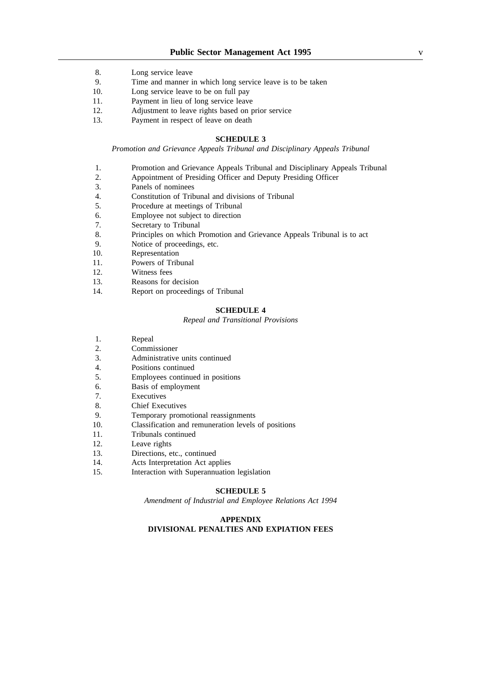- 8. Long service leave
- 9. Time and manner in which long service leave is to be taken
- 10. Long service leave to be on full pay
- 11. Payment in lieu of long service leave
- 12. Adjustment to leave rights based on prior service
- 13. Payment in respect of leave on death

### **SCHEDULE 3**

*Promotion and Grievance Appeals Tribunal and Disciplinary Appeals Tribunal*

- 1. Promotion and Grievance Appeals Tribunal and Disciplinary Appeals Tribunal
- 2. Appointment of Presiding Officer and Deputy Presiding Officer
- 3. Panels of nominees
- 4. Constitution of Tribunal and divisions of Tribunal
- 5. Procedure at meetings of Tribunal
- 6. Employee not subject to direction
- 7. Secretary to Tribunal
- 8. Principles on which Promotion and Grievance Appeals Tribunal is to act
- 9. Notice of proceedings, etc.
- 10. Representation
- 11. Powers of Tribunal
- 12. Witness fees
- 13. Reasons for decision
- 14. Report on proceedings of Tribunal

### **SCHEDULE 4**

#### *Repeal and Transitional Provisions*

- 1. Repeal
- 2. Commissioner
- 3. Administrative units continued
- 4. Positions continued
- 5. Employees continued in positions
- 6. Basis of employment
- 7. Executives
- 8. Chief Executives
- 9. Temporary promotional reassignments
- 10. Classification and remuneration levels of positions
- 11. Tribunals continued
- 12. Leave rights
- 13. Directions, etc., continued
- 14. Acts Interpretation Act applies
- 15. Interaction with Superannuation legislation

## **SCHEDULE 5**

*Amendment of Industrial and Employee Relations Act 1994*

#### **APPENDIX**

### **DIVISIONAL PENALTIES AND EXPIATION FEES**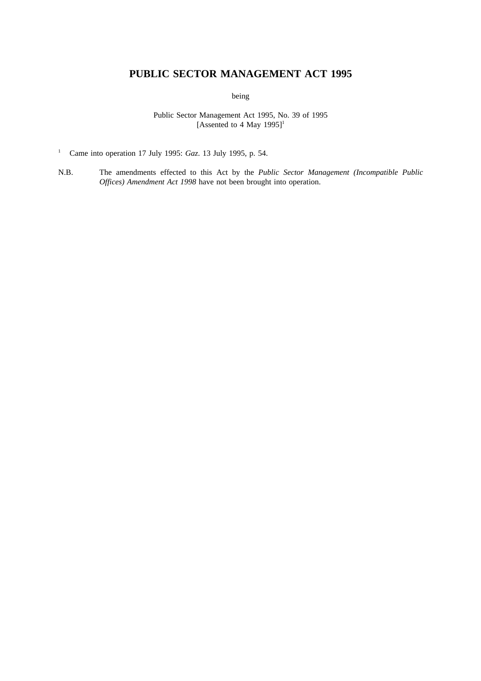# **PUBLIC SECTOR MANAGEMENT ACT 1995**

being

Public Sector Management Act 1995, No. 39 of 1995 [Assented to 4 May  $1995$ ]<sup>1</sup>

<sup>1</sup> Came into operation 17 July 1995: *Gaz*. 13 July 1995, p. 54.

N.B. The amendments effected to this Act by the *Public Sector Management (Incompatible Public Offices) Amendment Act 1998* have not been brought into operation.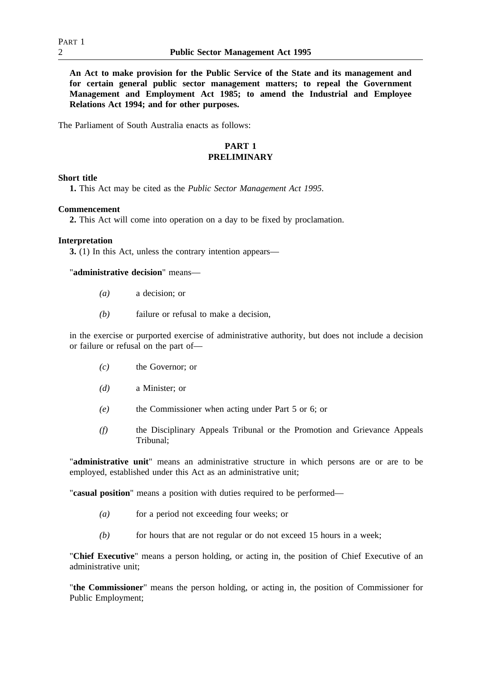**An Act to make provision for the Public Service of the State and its management and for certain general public sector management matters; to repeal the Government Management and Employment Act 1985; to amend the Industrial and Employee Relations Act 1994; and for other purposes.**

The Parliament of South Australia enacts as follows:

# **PART 1 PRELIMINARY**

# **Short title**

**1.** This Act may be cited as the *Public Sector Management Act 1995.*

## **Commencement**

**2.** This Act will come into operation on a day to be fixed by proclamation.

### **Interpretation**

**3.** (1) In this Act, unless the contrary intention appears—

"**administrative decision**" means—

- *(a)* a decision; or
- *(b)* failure or refusal to make a decision,

in the exercise or purported exercise of administrative authority, but does not include a decision or failure or refusal on the part of—

- *(c)* the Governor; or
- *(d)* a Minister; or
- *(e)* the Commissioner when acting under Part 5 or 6; or
- *(f)* the Disciplinary Appeals Tribunal or the Promotion and Grievance Appeals Tribunal;

"**administrative unit**" means an administrative structure in which persons are or are to be employed, established under this Act as an administrative unit;

"**casual position**" means a position with duties required to be performed—

- *(a)* for a period not exceeding four weeks; or
- *(b)* for hours that are not regular or do not exceed 15 hours in a week;

"**Chief Executive**" means a person holding, or acting in, the position of Chief Executive of an administrative unit;

"**the Commissioner**" means the person holding, or acting in, the position of Commissioner for Public Employment;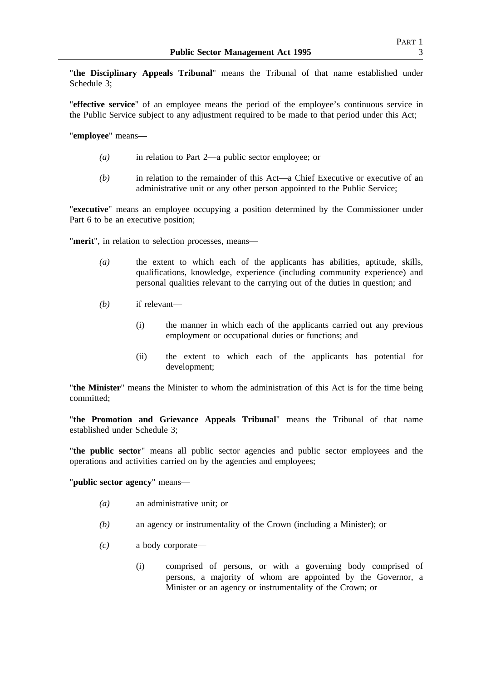"**the Disciplinary Appeals Tribunal**" means the Tribunal of that name established under Schedule 3;

"**effective service**" of an employee means the period of the employee's continuous service in the Public Service subject to any adjustment required to be made to that period under this Act;

"**employee**" means—

- *(a)* in relation to Part 2—a public sector employee; or
- *(b)* in relation to the remainder of this Act—a Chief Executive or executive of an administrative unit or any other person appointed to the Public Service;

"**executive**" means an employee occupying a position determined by the Commissioner under Part 6 to be an executive position;

"**merit**", in relation to selection processes, means—

- *(a)* the extent to which each of the applicants has abilities, aptitude, skills, qualifications, knowledge, experience (including community experience) and personal qualities relevant to the carrying out of the duties in question; and
- *(b)* if relevant—
	- (i) the manner in which each of the applicants carried out any previous employment or occupational duties or functions; and
	- (ii) the extent to which each of the applicants has potential for development;

"**the Minister**" means the Minister to whom the administration of this Act is for the time being committed;

"**the Promotion and Grievance Appeals Tribunal**" means the Tribunal of that name established under Schedule 3;

"**the public sector**" means all public sector agencies and public sector employees and the operations and activities carried on by the agencies and employees;

"**public sector agency**" means—

- *(a)* an administrative unit; or
- *(b)* an agency or instrumentality of the Crown (including a Minister); or
- *(c)* a body corporate—
	- (i) comprised of persons, or with a governing body comprised of persons, a majority of whom are appointed by the Governor, a Minister or an agency or instrumentality of the Crown; or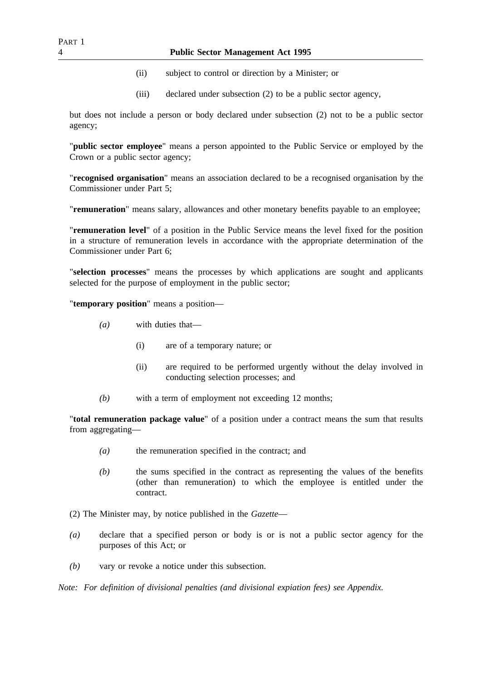- (ii) subject to control or direction by a Minister; or
- (iii) declared under subsection (2) to be a public sector agency,

but does not include a person or body declared under subsection (2) not to be a public sector agency;

"**public sector employee**" means a person appointed to the Public Service or employed by the Crown or a public sector agency;

"**recognised organisation**" means an association declared to be a recognised organisation by the Commissioner under Part 5;

"**remuneration**" means salary, allowances and other monetary benefits payable to an employee;

"**remuneration level**" of a position in the Public Service means the level fixed for the position in a structure of remuneration levels in accordance with the appropriate determination of the Commissioner under Part 6;

"**selection processes**" means the processes by which applications are sought and applicants selected for the purpose of employment in the public sector;

"**temporary position**" means a position—

- *(a)* with duties that—
	- (i) are of a temporary nature; or
	- (ii) are required to be performed urgently without the delay involved in conducting selection processes; and
- *(b)* with a term of employment not exceeding 12 months;

"**total remuneration package value**" of a position under a contract means the sum that results from aggregating—

- *(a)* the remuneration specified in the contract; and
- *(b)* the sums specified in the contract as representing the values of the benefits (other than remuneration) to which the employee is entitled under the contract.
- (2) The Minister may, by notice published in the *Gazette*—
- *(a)* declare that a specified person or body is or is not a public sector agency for the purposes of this Act; or
- *(b)* vary or revoke a notice under this subsection.

*Note: For definition of divisional penalties (and divisional expiation fees) see Appendix.*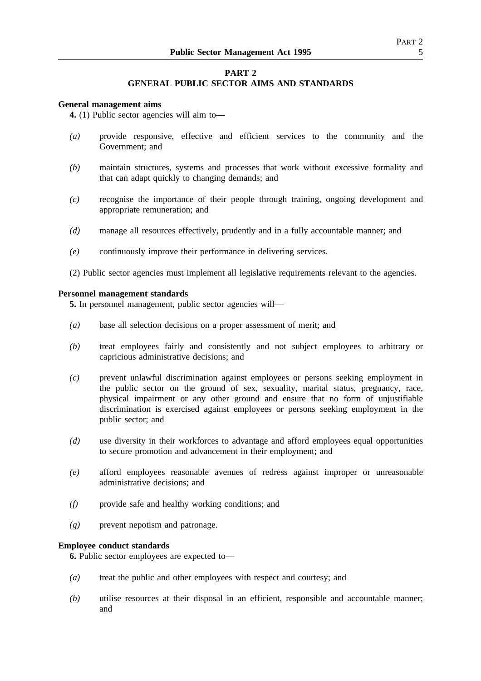# **PART 2**

# **GENERAL PUBLIC SECTOR AIMS AND STANDARDS**

### **General management aims**

**4.** (1) Public sector agencies will aim to—

- *(a)* provide responsive, effective and efficient services to the community and the Government; and
- *(b)* maintain structures, systems and processes that work without excessive formality and that can adapt quickly to changing demands; and
- *(c)* recognise the importance of their people through training, ongoing development and appropriate remuneration; and
- *(d)* manage all resources effectively, prudently and in a fully accountable manner; and
- *(e)* continuously improve their performance in delivering services.
- (2) Public sector agencies must implement all legislative requirements relevant to the agencies.

### **Personnel management standards**

**5.** In personnel management, public sector agencies will—

- *(a)* base all selection decisions on a proper assessment of merit; and
- *(b)* treat employees fairly and consistently and not subject employees to arbitrary or capricious administrative decisions; and
- *(c)* prevent unlawful discrimination against employees or persons seeking employment in the public sector on the ground of sex, sexuality, marital status, pregnancy, race, physical impairment or any other ground and ensure that no form of unjustifiable discrimination is exercised against employees or persons seeking employment in the public sector; and
- *(d)* use diversity in their workforces to advantage and afford employees equal opportunities to secure promotion and advancement in their employment; and
- *(e)* afford employees reasonable avenues of redress against improper or unreasonable administrative decisions; and
- *(f)* provide safe and healthy working conditions; and
- *(g)* prevent nepotism and patronage.

# **Employee conduct standards**

**6.** Public sector employees are expected to—

- *(a)* treat the public and other employees with respect and courtesy; and
- *(b)* utilise resources at their disposal in an efficient, responsible and accountable manner; and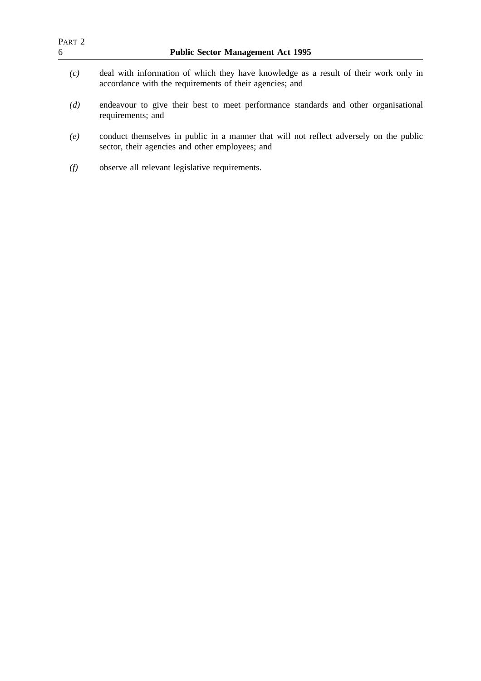| PART <sub>2</sub><br>6 | <b>Public Sector Management Act 1995</b>                                                                                                        |  |  |
|------------------------|-------------------------------------------------------------------------------------------------------------------------------------------------|--|--|
| (c)                    | deal with information of which they have knowledge as a result of their work only in<br>accordance with the requirements of their agencies; and |  |  |
| (d)                    | endeavour to give their best to meet performance standards and other organisational<br>requirements; and                                        |  |  |
| (e)                    | conduct themselves in public in a manner that will not reflect adversely on the public<br>sector, their agencies and other employees; and       |  |  |
| (f)                    | observe all relevant legislative requirements.                                                                                                  |  |  |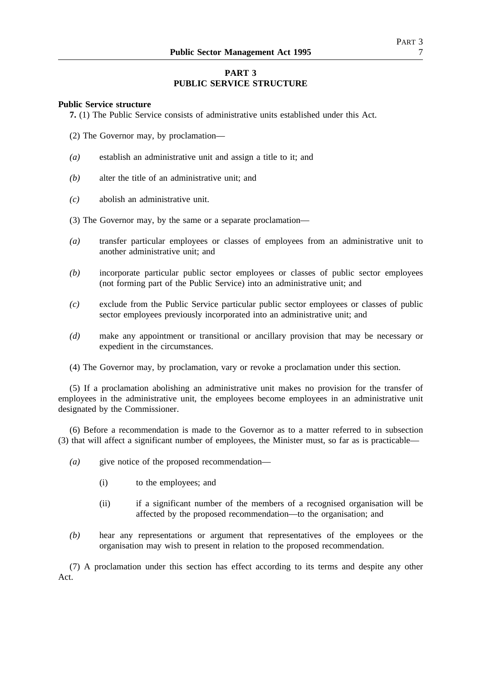# **PART 3 PUBLIC SERVICE STRUCTURE**

### **Public Service structure**

**7.** (1) The Public Service consists of administrative units established under this Act.

- (2) The Governor may, by proclamation—
- *(a)* establish an administrative unit and assign a title to it; and
- *(b)* alter the title of an administrative unit; and
- *(c)* abolish an administrative unit.
- (3) The Governor may, by the same or a separate proclamation—
- *(a)* transfer particular employees or classes of employees from an administrative unit to another administrative unit; and
- *(b)* incorporate particular public sector employees or classes of public sector employees (not forming part of the Public Service) into an administrative unit; and
- *(c)* exclude from the Public Service particular public sector employees or classes of public sector employees previously incorporated into an administrative unit; and
- *(d)* make any appointment or transitional or ancillary provision that may be necessary or expedient in the circumstances.
- (4) The Governor may, by proclamation, vary or revoke a proclamation under this section.

(5) If a proclamation abolishing an administrative unit makes no provision for the transfer of employees in the administrative unit, the employees become employees in an administrative unit designated by the Commissioner.

(6) Before a recommendation is made to the Governor as to a matter referred to in subsection (3) that will affect a significant number of employees, the Minister must, so far as is practicable—

- *(a)* give notice of the proposed recommendation—
	- (i) to the employees; and
	- (ii) if a significant number of the members of a recognised organisation will be affected by the proposed recommendation—to the organisation; and
- *(b)* hear any representations or argument that representatives of the employees or the organisation may wish to present in relation to the proposed recommendation.

(7) A proclamation under this section has effect according to its terms and despite any other Act.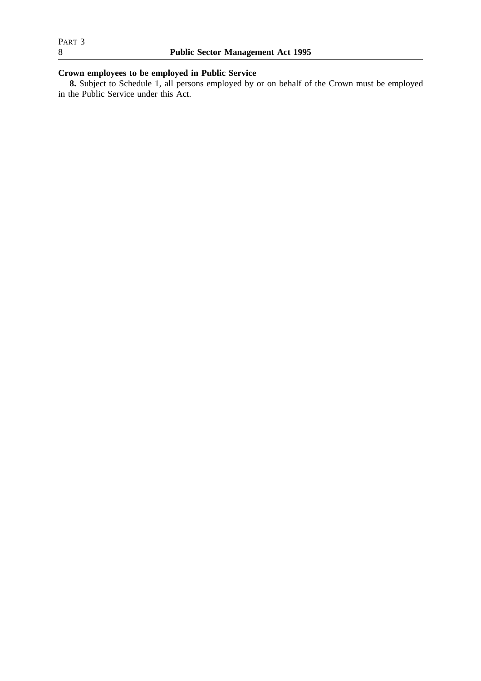# **Crown employees to be employed in Public Service**

**8.** Subject to Schedule 1, all persons employed by or on behalf of the Crown must be employed in the Public Service under this Act.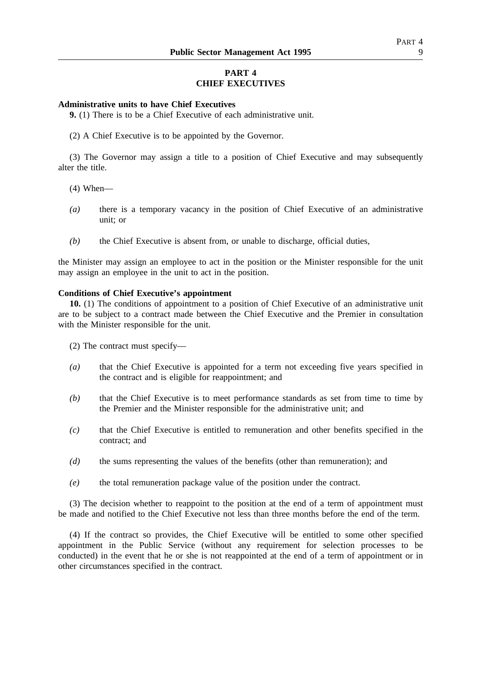# **PART 4 CHIEF EXECUTIVES**

## **Administrative units to have Chief Executives**

**9.** (1) There is to be a Chief Executive of each administrative unit.

(2) A Chief Executive is to be appointed by the Governor.

(3) The Governor may assign a title to a position of Chief Executive and may subsequently alter the title.

- (4) When—
- *(a)* there is a temporary vacancy in the position of Chief Executive of an administrative unit; or
- *(b)* the Chief Executive is absent from, or unable to discharge, official duties,

the Minister may assign an employee to act in the position or the Minister responsible for the unit may assign an employee in the unit to act in the position.

### **Conditions of Chief Executive's appointment**

**10.** (1) The conditions of appointment to a position of Chief Executive of an administrative unit are to be subject to a contract made between the Chief Executive and the Premier in consultation with the Minister responsible for the unit.

(2) The contract must specify—

- *(a)* that the Chief Executive is appointed for a term not exceeding five years specified in the contract and is eligible for reappointment; and
- *(b)* that the Chief Executive is to meet performance standards as set from time to time by the Premier and the Minister responsible for the administrative unit; and
- *(c)* that the Chief Executive is entitled to remuneration and other benefits specified in the contract; and
- *(d)* the sums representing the values of the benefits (other than remuneration); and
- *(e)* the total remuneration package value of the position under the contract.

(3) The decision whether to reappoint to the position at the end of a term of appointment must be made and notified to the Chief Executive not less than three months before the end of the term.

(4) If the contract so provides, the Chief Executive will be entitled to some other specified appointment in the Public Service (without any requirement for selection processes to be conducted) in the event that he or she is not reappointed at the end of a term of appointment or in other circumstances specified in the contract.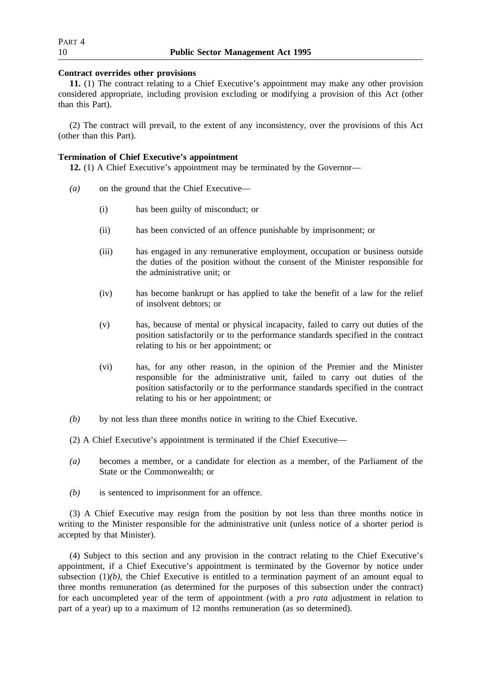# **Contract overrides other provisions**

**11.** (1) The contract relating to a Chief Executive's appointment may make any other provision considered appropriate, including provision excluding or modifying a provision of this Act (other than this Part).

(2) The contract will prevail, to the extent of any inconsistency, over the provisions of this Act (other than this Part).

# **Termination of Chief Executive's appointment**

**12.** (1) A Chief Executive's appointment may be terminated by the Governor—

- *(a)* on the ground that the Chief Executive—
	- (i) has been guilty of misconduct; or
	- (ii) has been convicted of an offence punishable by imprisonment; or
	- (iii) has engaged in any remunerative employment, occupation or business outside the duties of the position without the consent of the Minister responsible for the administrative unit; or
	- (iv) has become bankrupt or has applied to take the benefit of a law for the relief of insolvent debtors; or
	- (v) has, because of mental or physical incapacity, failed to carry out duties of the position satisfactorily or to the performance standards specified in the contract relating to his or her appointment; or
	- (vi) has, for any other reason, in the opinion of the Premier and the Minister responsible for the administrative unit, failed to carry out duties of the position satisfactorily or to the performance standards specified in the contract relating to his or her appointment; or
- *(b)* by not less than three months notice in writing to the Chief Executive.
- (2) A Chief Executive's appointment is terminated if the Chief Executive—
- *(a)* becomes a member, or a candidate for election as a member, of the Parliament of the State or the Commonwealth; or
- *(b)* is sentenced to imprisonment for an offence.

(3) A Chief Executive may resign from the position by not less than three months notice in writing to the Minister responsible for the administrative unit (unless notice of a shorter period is accepted by that Minister).

(4) Subject to this section and any provision in the contract relating to the Chief Executive's appointment, if a Chief Executive's appointment is terminated by the Governor by notice under subsection (1)*(b)*, the Chief Executive is entitled to a termination payment of an amount equal to three months remuneration (as determined for the purposes of this subsection under the contract) for each uncompleted year of the term of appointment (with a *pro rata* adjustment in relation to part of a year) up to a maximum of 12 months remuneration (as so determined).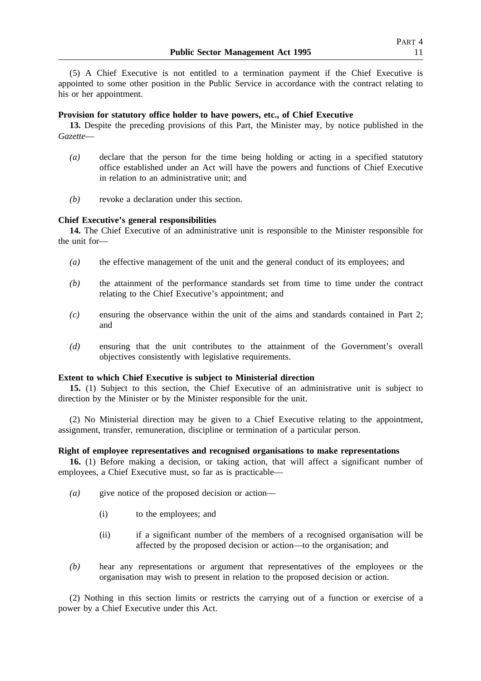(5) A Chief Executive is not entitled to a termination payment if the Chief Executive is appointed to some other position in the Public Service in accordance with the contract relating to his or her appointment.

# **Provision for statutory office holder to have powers, etc., of Chief Executive**

**13.** Despite the preceding provisions of this Part, the Minister may, by notice published in the *Gazette*—

- *(a)* declare that the person for the time being holding or acting in a specified statutory office established under an Act will have the powers and functions of Chief Executive in relation to an administrative unit; and
- *(b)* revoke a declaration under this section.

#### **Chief Executive's general responsibilities**

**14.** The Chief Executive of an administrative unit is responsible to the Minister responsible for the unit for—

- *(a)* the effective management of the unit and the general conduct of its employees; and
- *(b)* the attainment of the performance standards set from time to time under the contract relating to the Chief Executive's appointment; and
- *(c)* ensuring the observance within the unit of the aims and standards contained in Part 2; and
- *(d)* ensuring that the unit contributes to the attainment of the Government's overall objectives consistently with legislative requirements.

# **Extent to which Chief Executive is subject to Ministerial direction**

**15.** (1) Subject to this section, the Chief Executive of an administrative unit is subject to direction by the Minister or by the Minister responsible for the unit.

(2) No Ministerial direction may be given to a Chief Executive relating to the appointment, assignment, transfer, remuneration, discipline or termination of a particular person.

### **Right of employee representatives and recognised organisations to make representations**

**16.** (1) Before making a decision, or taking action, that will affect a significant number of employees, a Chief Executive must, so far as is practicable—

- *(a)* give notice of the proposed decision or action—
	- (i) to the employees; and
	- (ii) if a significant number of the members of a recognised organisation will be affected by the proposed decision or action—to the organisation; and
- *(b)* hear any representations or argument that representatives of the employees or the organisation may wish to present in relation to the proposed decision or action.

(2) Nothing in this section limits or restricts the carrying out of a function or exercise of a power by a Chief Executive under this Act.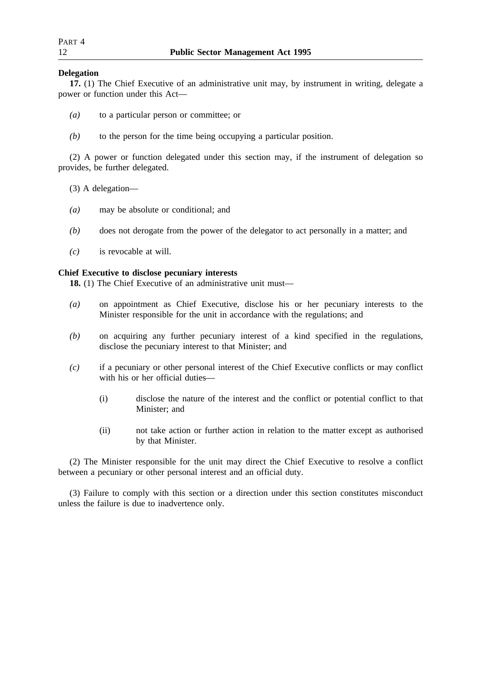# **Delegation**

**17.** (1) The Chief Executive of an administrative unit may, by instrument in writing, delegate a power or function under this Act—

- *(a)* to a particular person or committee; or
- *(b)* to the person for the time being occupying a particular position.

(2) A power or function delegated under this section may, if the instrument of delegation so provides, be further delegated.

- (3) A delegation—
- *(a)* may be absolute or conditional; and
- *(b)* does not derogate from the power of the delegator to act personally in a matter; and
- *(c)* is revocable at will.

# **Chief Executive to disclose pecuniary interests**

**18.** (1) The Chief Executive of an administrative unit must—

- *(a)* on appointment as Chief Executive, disclose his or her pecuniary interests to the Minister responsible for the unit in accordance with the regulations; and
- *(b)* on acquiring any further pecuniary interest of a kind specified in the regulations, disclose the pecuniary interest to that Minister; and
- *(c)* if a pecuniary or other personal interest of the Chief Executive conflicts or may conflict with his or her official duties—
	- (i) disclose the nature of the interest and the conflict or potential conflict to that Minister; and
	- (ii) not take action or further action in relation to the matter except as authorised by that Minister.

(2) The Minister responsible for the unit may direct the Chief Executive to resolve a conflict between a pecuniary or other personal interest and an official duty.

(3) Failure to comply with this section or a direction under this section constitutes misconduct unless the failure is due to inadvertence only.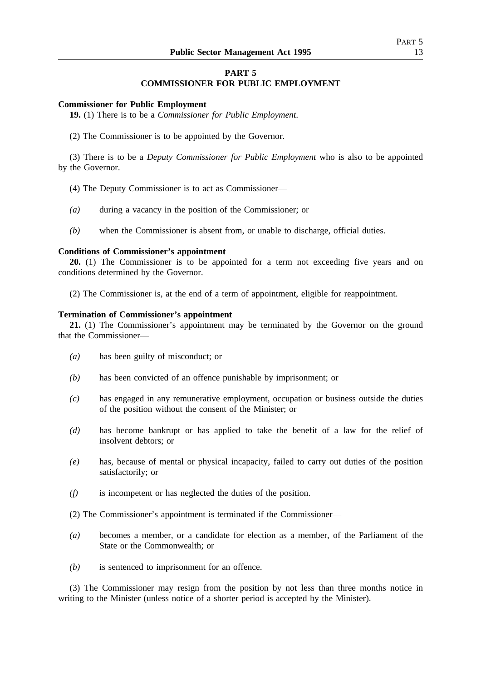# **PART 5 COMMISSIONER FOR PUBLIC EMPLOYMENT**

#### **Commissioner for Public Employment**

**19.** (1) There is to be a *Commissioner for Public Employment*.

(2) The Commissioner is to be appointed by the Governor.

(3) There is to be a *Deputy Commissioner for Public Employment* who is also to be appointed by the Governor.

- (4) The Deputy Commissioner is to act as Commissioner—
- *(a)* during a vacancy in the position of the Commissioner; or
- *(b)* when the Commissioner is absent from, or unable to discharge, official duties.

### **Conditions of Commissioner's appointment**

**20.** (1) The Commissioner is to be appointed for a term not exceeding five years and on conditions determined by the Governor.

(2) The Commissioner is, at the end of a term of appointment, eligible for reappointment.

# **Termination of Commissioner's appointment**

**21.** (1) The Commissioner's appointment may be terminated by the Governor on the ground that the Commissioner—

- *(a)* has been guilty of misconduct; or
- *(b)* has been convicted of an offence punishable by imprisonment; or
- *(c)* has engaged in any remunerative employment, occupation or business outside the duties of the position without the consent of the Minister; or
- *(d)* has become bankrupt or has applied to take the benefit of a law for the relief of insolvent debtors; or
- *(e)* has, because of mental or physical incapacity, failed to carry out duties of the position satisfactorily; or
- *(f)* is incompetent or has neglected the duties of the position.
- (2) The Commissioner's appointment is terminated if the Commissioner—
- *(a)* becomes a member, or a candidate for election as a member, of the Parliament of the State or the Commonwealth; or
- *(b)* is sentenced to imprisonment for an offence.

(3) The Commissioner may resign from the position by not less than three months notice in writing to the Minister (unless notice of a shorter period is accepted by the Minister).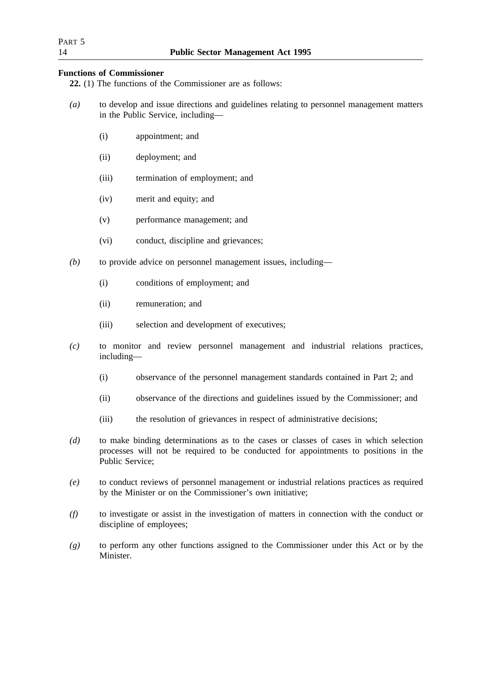# **Functions of Commissioner**

**22.** (1) The functions of the Commissioner are as follows:

- *(a)* to develop and issue directions and guidelines relating to personnel management matters in the Public Service, including—
	- (i) appointment; and
	- (ii) deployment; and
	- (iii) termination of employment; and
	- (iv) merit and equity; and
	- (v) performance management; and
	- (vi) conduct, discipline and grievances;
- *(b)* to provide advice on personnel management issues, including—
	- (i) conditions of employment; and
	- (ii) remuneration; and
	- (iii) selection and development of executives;
- *(c)* to monitor and review personnel management and industrial relations practices, including—
	- (i) observance of the personnel management standards contained in Part 2; and
	- (ii) observance of the directions and guidelines issued by the Commissioner; and
	- (iii) the resolution of grievances in respect of administrative decisions;
- *(d)* to make binding determinations as to the cases or classes of cases in which selection processes will not be required to be conducted for appointments to positions in the Public Service;
- *(e)* to conduct reviews of personnel management or industrial relations practices as required by the Minister or on the Commissioner's own initiative;
- *(f)* to investigate or assist in the investigation of matters in connection with the conduct or discipline of employees;
- *(g)* to perform any other functions assigned to the Commissioner under this Act or by the Minister.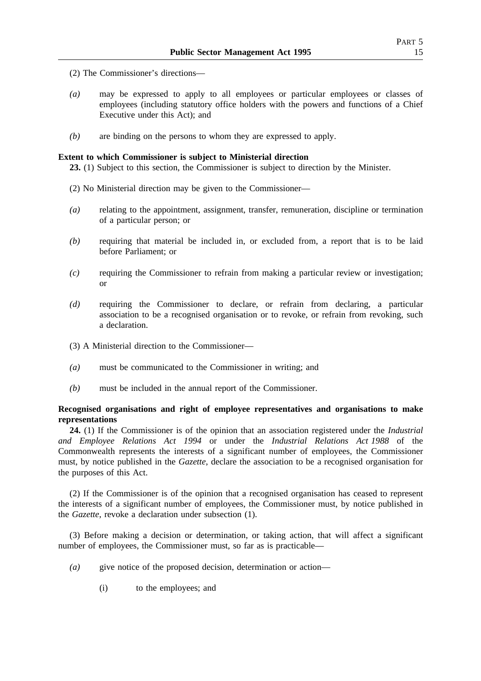- (2) The Commissioner's directions—
- *(a)* may be expressed to apply to all employees or particular employees or classes of employees (including statutory office holders with the powers and functions of a Chief Executive under this Act); and
- *(b)* are binding on the persons to whom they are expressed to apply.

# **Extent to which Commissioner is subject to Ministerial direction**

**23.** (1) Subject to this section, the Commissioner is subject to direction by the Minister.

- (2) No Ministerial direction may be given to the Commissioner—
- *(a)* relating to the appointment, assignment, transfer, remuneration, discipline or termination of a particular person; or
- *(b)* requiring that material be included in, or excluded from, a report that is to be laid before Parliament; or
- *(c)* requiring the Commissioner to refrain from making a particular review or investigation; or
- *(d)* requiring the Commissioner to declare, or refrain from declaring, a particular association to be a recognised organisation or to revoke, or refrain from revoking, such a declaration.
- (3) A Ministerial direction to the Commissioner—
- *(a)* must be communicated to the Commissioner in writing; and
- *(b)* must be included in the annual report of the Commissioner.

# **Recognised organisations and right of employee representatives and organisations to make representations**

**24.** (1) If the Commissioner is of the opinion that an association registered under the *Industrial and Employee Relations Act 1994* or under the *Industrial Relations Act 1988* of the Commonwealth represents the interests of a significant number of employees, the Commissioner must, by notice published in the *Gazette*, declare the association to be a recognised organisation for the purposes of this Act.

(2) If the Commissioner is of the opinion that a recognised organisation has ceased to represent the interests of a significant number of employees, the Commissioner must, by notice published in the *Gazette*, revoke a declaration under subsection (1).

(3) Before making a decision or determination, or taking action, that will affect a significant number of employees, the Commissioner must, so far as is practicable—

- *(a)* give notice of the proposed decision, determination or action—
	- (i) to the employees; and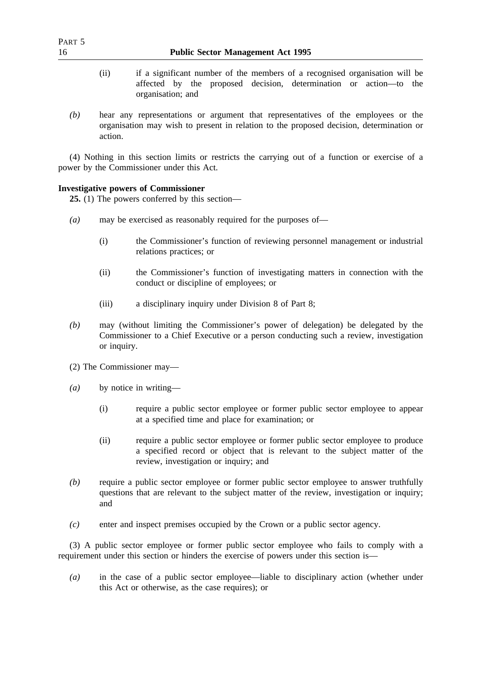- (ii) if a significant number of the members of a recognised organisation will be affected by the proposed decision, determination or action—to the organisation; and
- *(b)* hear any representations or argument that representatives of the employees or the organisation may wish to present in relation to the proposed decision, determination or action.

(4) Nothing in this section limits or restricts the carrying out of a function or exercise of a power by the Commissioner under this Act.

# **Investigative powers of Commissioner**

**25.** (1) The powers conferred by this section—

- *(a)* may be exercised as reasonably required for the purposes of—
	- (i) the Commissioner's function of reviewing personnel management or industrial relations practices; or
	- (ii) the Commissioner's function of investigating matters in connection with the conduct or discipline of employees; or
	- (iii) a disciplinary inquiry under Division 8 of Part 8;
- *(b)* may (without limiting the Commissioner's power of delegation) be delegated by the Commissioner to a Chief Executive or a person conducting such a review, investigation or inquiry.
- (2) The Commissioner may—
- *(a)* by notice in writing—
	- (i) require a public sector employee or former public sector employee to appear at a specified time and place for examination; or
	- (ii) require a public sector employee or former public sector employee to produce a specified record or object that is relevant to the subject matter of the review, investigation or inquiry; and
- *(b)* require a public sector employee or former public sector employee to answer truthfully questions that are relevant to the subject matter of the review, investigation or inquiry; and
- *(c)* enter and inspect premises occupied by the Crown or a public sector agency.

(3) A public sector employee or former public sector employee who fails to comply with a requirement under this section or hinders the exercise of powers under this section is—

*(a)* in the case of a public sector employee—liable to disciplinary action (whether under this Act or otherwise, as the case requires); or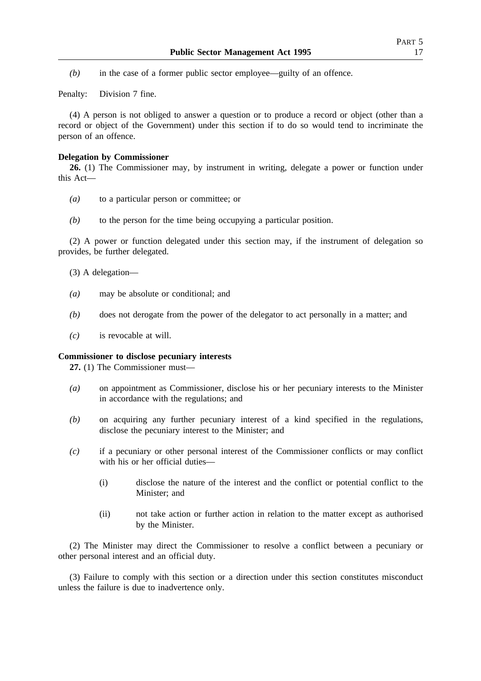*(b)* in the case of a former public sector employee—guilty of an offence.

Penalty: Division 7 fine.

(4) A person is not obliged to answer a question or to produce a record or object (other than a record or object of the Government) under this section if to do so would tend to incriminate the person of an offence.

## **Delegation by Commissioner**

**26.** (1) The Commissioner may, by instrument in writing, delegate a power or function under this Act—

- *(a)* to a particular person or committee; or
- *(b)* to the person for the time being occupying a particular position.

(2) A power or function delegated under this section may, if the instrument of delegation so provides, be further delegated.

- (3) A delegation—
- *(a)* may be absolute or conditional; and
- *(b)* does not derogate from the power of the delegator to act personally in a matter; and
- *(c)* is revocable at will.

## **Commissioner to disclose pecuniary interests**

**27.** (1) The Commissioner must—

- *(a)* on appointment as Commissioner, disclose his or her pecuniary interests to the Minister in accordance with the regulations; and
- *(b)* on acquiring any further pecuniary interest of a kind specified in the regulations, disclose the pecuniary interest to the Minister; and
- *(c)* if a pecuniary or other personal interest of the Commissioner conflicts or may conflict with his or her official duties—
	- (i) disclose the nature of the interest and the conflict or potential conflict to the Minister; and
	- (ii) not take action or further action in relation to the matter except as authorised by the Minister.

(2) The Minister may direct the Commissioner to resolve a conflict between a pecuniary or other personal interest and an official duty.

(3) Failure to comply with this section or a direction under this section constitutes misconduct unless the failure is due to inadvertence only.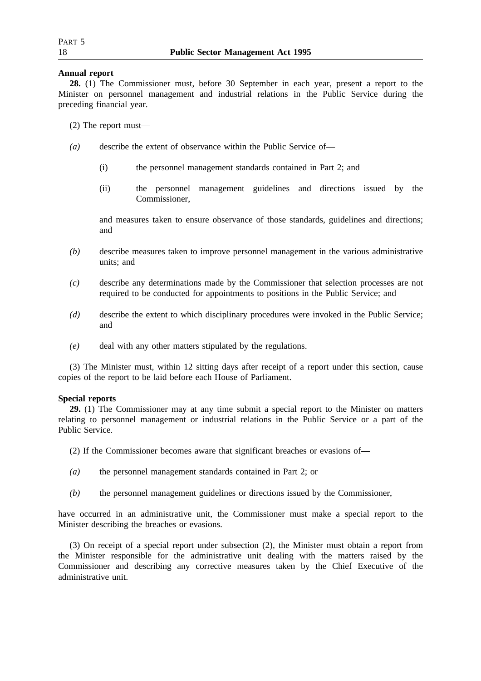# **Annual report**

**28.** (1) The Commissioner must, before 30 September in each year, present a report to the Minister on personnel management and industrial relations in the Public Service during the preceding financial year.

- (2) The report must—
- *(a)* describe the extent of observance within the Public Service of—
	- (i) the personnel management standards contained in Part 2; and
	- (ii) the personnel management guidelines and directions issued by the Commissioner,

and measures taken to ensure observance of those standards, guidelines and directions; and

- *(b)* describe measures taken to improve personnel management in the various administrative units; and
- *(c)* describe any determinations made by the Commissioner that selection processes are not required to be conducted for appointments to positions in the Public Service; and
- *(d)* describe the extent to which disciplinary procedures were invoked in the Public Service; and
- *(e)* deal with any other matters stipulated by the regulations.

(3) The Minister must, within 12 sitting days after receipt of a report under this section, cause copies of the report to be laid before each House of Parliament.

# **Special reports**

**29.** (1) The Commissioner may at any time submit a special report to the Minister on matters relating to personnel management or industrial relations in the Public Service or a part of the Public Service.

- (2) If the Commissioner becomes aware that significant breaches or evasions of—
- *(a)* the personnel management standards contained in Part 2; or
- *(b)* the personnel management guidelines or directions issued by the Commissioner,

have occurred in an administrative unit, the Commissioner must make a special report to the Minister describing the breaches or evasions.

(3) On receipt of a special report under subsection (2), the Minister must obtain a report from the Minister responsible for the administrative unit dealing with the matters raised by the Commissioner and describing any corrective measures taken by the Chief Executive of the administrative unit.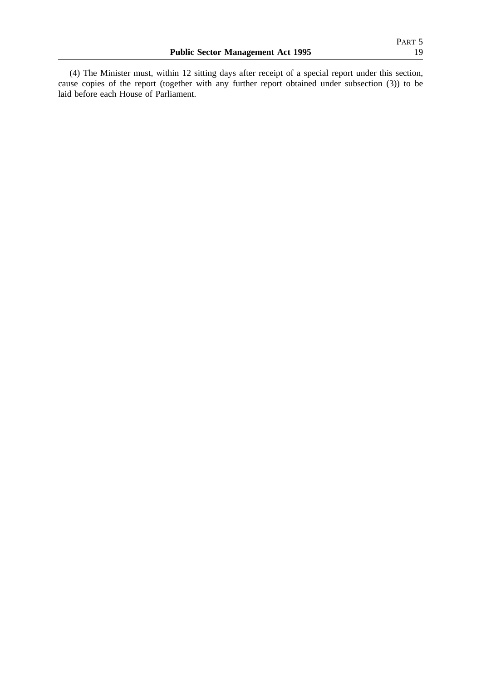(4) The Minister must, within 12 sitting days after receipt of a special report under this section, cause copies of the report (together with any further report obtained under subsection (3)) to be laid before each House of Parliament.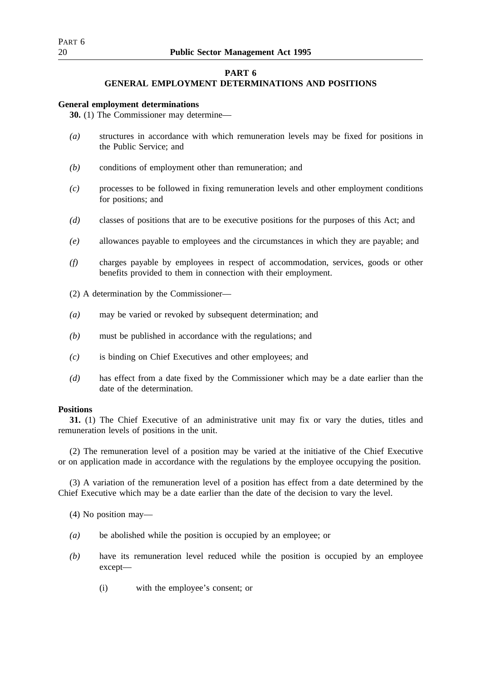# **PART 6**

# **GENERAL EMPLOYMENT DETERMINATIONS AND POSITIONS**

# **General employment determinations**

**30.** (1) The Commissioner may determine—

- *(a)* structures in accordance with which remuneration levels may be fixed for positions in the Public Service; and
- *(b)* conditions of employment other than remuneration; and
- *(c)* processes to be followed in fixing remuneration levels and other employment conditions for positions; and
- *(d)* classes of positions that are to be executive positions for the purposes of this Act; and
- *(e)* allowances payable to employees and the circumstances in which they are payable; and
- *(f)* charges payable by employees in respect of accommodation, services, goods or other benefits provided to them in connection with their employment.
- (2) A determination by the Commissioner—
- *(a)* may be varied or revoked by subsequent determination; and
- *(b)* must be published in accordance with the regulations; and
- *(c)* is binding on Chief Executives and other employees; and
- *(d)* has effect from a date fixed by the Commissioner which may be a date earlier than the date of the determination.

# **Positions**

**31.** (1) The Chief Executive of an administrative unit may fix or vary the duties, titles and remuneration levels of positions in the unit.

(2) The remuneration level of a position may be varied at the initiative of the Chief Executive or on application made in accordance with the regulations by the employee occupying the position.

(3) A variation of the remuneration level of a position has effect from a date determined by the Chief Executive which may be a date earlier than the date of the decision to vary the level.

(4) No position may—

- *(a)* be abolished while the position is occupied by an employee; or
- *(b)* have its remuneration level reduced while the position is occupied by an employee except—
	- (i) with the employee's consent; or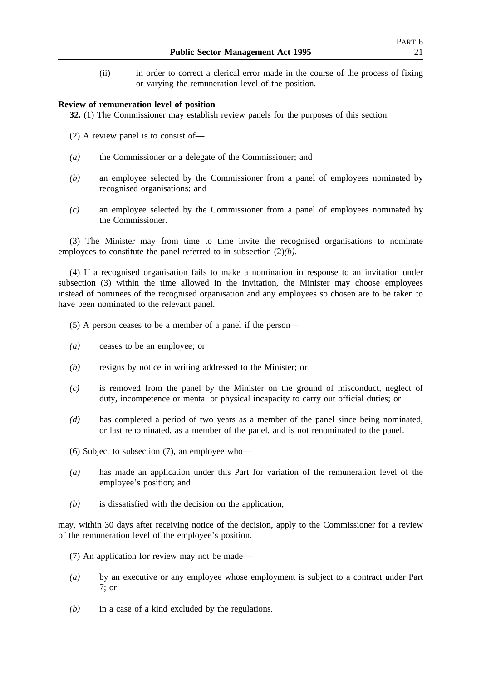(ii) in order to correct a clerical error made in the course of the process of fixing or varying the remuneration level of the position.

## **Review of remuneration level of position**

**32.** (1) The Commissioner may establish review panels for the purposes of this section.

- (2) A review panel is to consist of—
- *(a)* the Commissioner or a delegate of the Commissioner; and
- *(b)* an employee selected by the Commissioner from a panel of employees nominated by recognised organisations; and
- *(c)* an employee selected by the Commissioner from a panel of employees nominated by the Commissioner.

(3) The Minister may from time to time invite the recognised organisations to nominate employees to constitute the panel referred to in subsection (2)*(b)*.

(4) If a recognised organisation fails to make a nomination in response to an invitation under subsection (3) within the time allowed in the invitation, the Minister may choose employees instead of nominees of the recognised organisation and any employees so chosen are to be taken to have been nominated to the relevant panel.

- (5) A person ceases to be a member of a panel if the person—
- *(a)* ceases to be an employee; or
- *(b)* resigns by notice in writing addressed to the Minister; or
- *(c)* is removed from the panel by the Minister on the ground of misconduct, neglect of duty, incompetence or mental or physical incapacity to carry out official duties; or
- *(d)* has completed a period of two years as a member of the panel since being nominated, or last renominated, as a member of the panel, and is not renominated to the panel.
- (6) Subject to subsection (7), an employee who—
- *(a)* has made an application under this Part for variation of the remuneration level of the employee's position; and
- *(b)* is dissatisfied with the decision on the application,

may, within 30 days after receiving notice of the decision, apply to the Commissioner for a review of the remuneration level of the employee's position.

- (7) An application for review may not be made—
- *(a)* by an executive or any employee whose employment is subject to a contract under Part 7; or
- *(b)* in a case of a kind excluded by the regulations.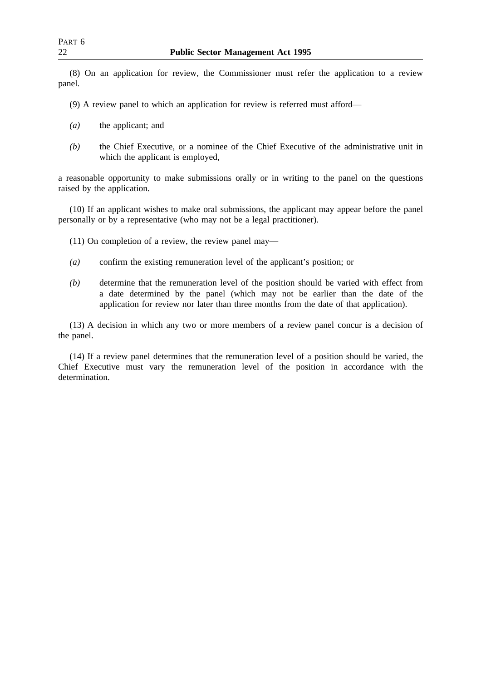(8) On an application for review, the Commissioner must refer the application to a review panel.

(9) A review panel to which an application for review is referred must afford—

- *(a)* the applicant; and
- *(b)* the Chief Executive, or a nominee of the Chief Executive of the administrative unit in which the applicant is employed,

a reasonable opportunity to make submissions orally or in writing to the panel on the questions raised by the application.

(10) If an applicant wishes to make oral submissions, the applicant may appear before the panel personally or by a representative (who may not be a legal practitioner).

(11) On completion of a review, the review panel may—

- *(a)* confirm the existing remuneration level of the applicant's position; or
- *(b)* determine that the remuneration level of the position should be varied with effect from a date determined by the panel (which may not be earlier than the date of the application for review nor later than three months from the date of that application).

(13) A decision in which any two or more members of a review panel concur is a decision of the panel.

(14) If a review panel determines that the remuneration level of a position should be varied, the Chief Executive must vary the remuneration level of the position in accordance with the determination.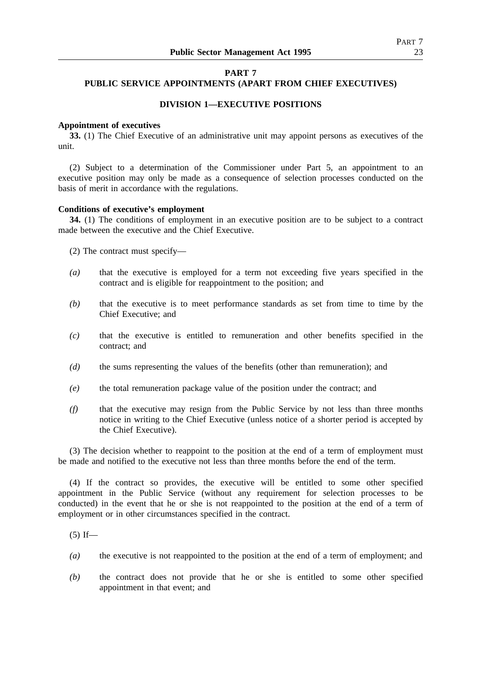# **PART 7**

# **PUBLIC SERVICE APPOINTMENTS (APART FROM CHIEF EXECUTIVES)**

# **DIVISION 1—EXECUTIVE POSITIONS**

### **Appointment of executives**

**33.** (1) The Chief Executive of an administrative unit may appoint persons as executives of the unit.

(2) Subject to a determination of the Commissioner under Part 5, an appointment to an executive position may only be made as a consequence of selection processes conducted on the basis of merit in accordance with the regulations.

## **Conditions of executive's employment**

**34.** (1) The conditions of employment in an executive position are to be subject to a contract made between the executive and the Chief Executive.

(2) The contract must specify—

- *(a)* that the executive is employed for a term not exceeding five years specified in the contract and is eligible for reappointment to the position; and
- *(b)* that the executive is to meet performance standards as set from time to time by the Chief Executive; and
- *(c)* that the executive is entitled to remuneration and other benefits specified in the contract; and
- *(d)* the sums representing the values of the benefits (other than remuneration); and
- *(e)* the total remuneration package value of the position under the contract; and
- *(f)* that the executive may resign from the Public Service by not less than three months notice in writing to the Chief Executive (unless notice of a shorter period is accepted by the Chief Executive).

(3) The decision whether to reappoint to the position at the end of a term of employment must be made and notified to the executive not less than three months before the end of the term.

(4) If the contract so provides, the executive will be entitled to some other specified appointment in the Public Service (without any requirement for selection processes to be conducted) in the event that he or she is not reappointed to the position at the end of a term of employment or in other circumstances specified in the contract.

 $(5)$  If—

- *(a)* the executive is not reappointed to the position at the end of a term of employment; and
- *(b)* the contract does not provide that he or she is entitled to some other specified appointment in that event; and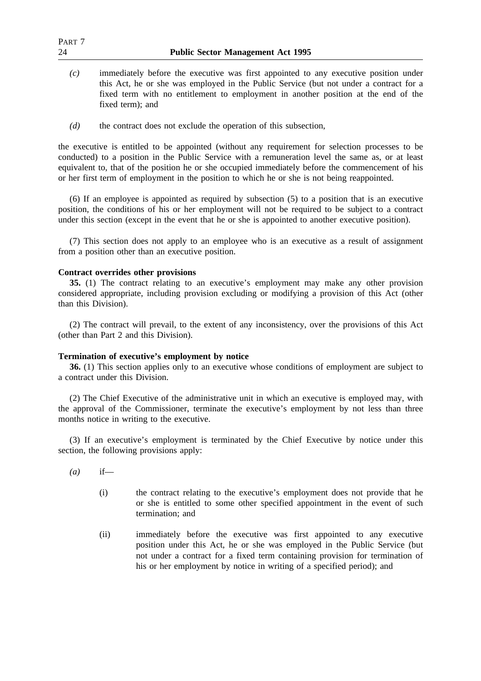| PART <sub>7</sub><br>24 | <b>Public Sector Management Act 1995</b>                                                                                                                                                                                                                                                 |  |  |
|-------------------------|------------------------------------------------------------------------------------------------------------------------------------------------------------------------------------------------------------------------------------------------------------------------------------------|--|--|
| (c)                     | immediately before the executive was first appointed to any executive position under<br>this Act, he or she was employed in the Public Service (but not under a contract for a<br>fixed term with no entitlement to employment in another position at the end of the<br>fixed term); and |  |  |

*(d)* the contract does not exclude the operation of this subsection,

the executive is entitled to be appointed (without any requirement for selection processes to be conducted) to a position in the Public Service with a remuneration level the same as, or at least equivalent to, that of the position he or she occupied immediately before the commencement of his or her first term of employment in the position to which he or she is not being reappointed.

(6) If an employee is appointed as required by subsection (5) to a position that is an executive position, the conditions of his or her employment will not be required to be subject to a contract under this section (except in the event that he or she is appointed to another executive position).

(7) This section does not apply to an employee who is an executive as a result of assignment from a position other than an executive position.

# **Contract overrides other provisions**

**35.** (1) The contract relating to an executive's employment may make any other provision considered appropriate, including provision excluding or modifying a provision of this Act (other than this Division).

(2) The contract will prevail, to the extent of any inconsistency, over the provisions of this Act (other than Part 2 and this Division).

# **Termination of executive's employment by notice**

**36.** (1) This section applies only to an executive whose conditions of employment are subject to a contract under this Division.

(2) The Chief Executive of the administrative unit in which an executive is employed may, with the approval of the Commissioner, terminate the executive's employment by not less than three months notice in writing to the executive.

(3) If an executive's employment is terminated by the Chief Executive by notice under this section, the following provisions apply:

- *(a)* if—
	- (i) the contract relating to the executive's employment does not provide that he or she is entitled to some other specified appointment in the event of such termination; and
	- (ii) immediately before the executive was first appointed to any executive position under this Act, he or she was employed in the Public Service (but not under a contract for a fixed term containing provision for termination of his or her employment by notice in writing of a specified period); and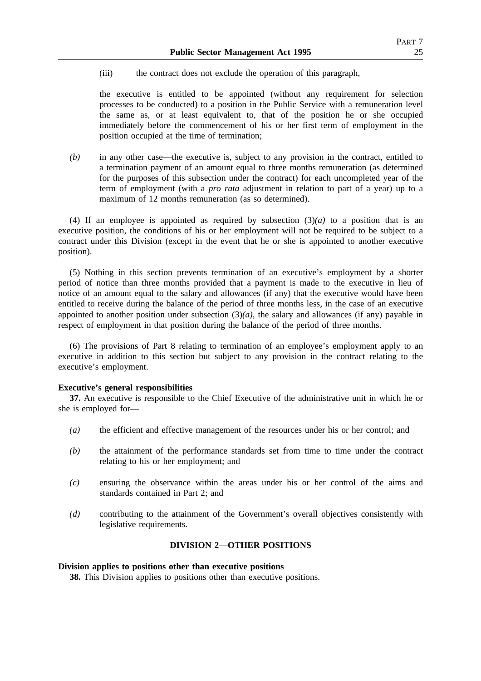(iii) the contract does not exclude the operation of this paragraph,

the executive is entitled to be appointed (without any requirement for selection processes to be conducted) to a position in the Public Service with a remuneration level the same as, or at least equivalent to, that of the position he or she occupied immediately before the commencement of his or her first term of employment in the position occupied at the time of termination;

*(b)* in any other case—the executive is, subject to any provision in the contract, entitled to a termination payment of an amount equal to three months remuneration (as determined for the purposes of this subsection under the contract) for each uncompleted year of the term of employment (with a *pro rata* adjustment in relation to part of a year) up to a maximum of 12 months remuneration (as so determined).

(4) If an employee is appointed as required by subsection  $(3)(a)$  to a position that is an executive position, the conditions of his or her employment will not be required to be subject to a contract under this Division (except in the event that he or she is appointed to another executive position).

(5) Nothing in this section prevents termination of an executive's employment by a shorter period of notice than three months provided that a payment is made to the executive in lieu of notice of an amount equal to the salary and allowances (if any) that the executive would have been entitled to receive during the balance of the period of three months less, in the case of an executive appointed to another position under subsection  $(3)(a)$ , the salary and allowances (if any) payable in respect of employment in that position during the balance of the period of three months.

(6) The provisions of Part 8 relating to termination of an employee's employment apply to an executive in addition to this section but subject to any provision in the contract relating to the executive's employment.

# **Executive's general responsibilities**

**37.** An executive is responsible to the Chief Executive of the administrative unit in which he or she is employed for—

- *(a)* the efficient and effective management of the resources under his or her control; and
- *(b)* the attainment of the performance standards set from time to time under the contract relating to his or her employment; and
- *(c)* ensuring the observance within the areas under his or her control of the aims and standards contained in Part 2; and
- *(d)* contributing to the attainment of the Government's overall objectives consistently with legislative requirements.

# **DIVISION 2—OTHER POSITIONS**

## **Division applies to positions other than executive positions**

**38.** This Division applies to positions other than executive positions.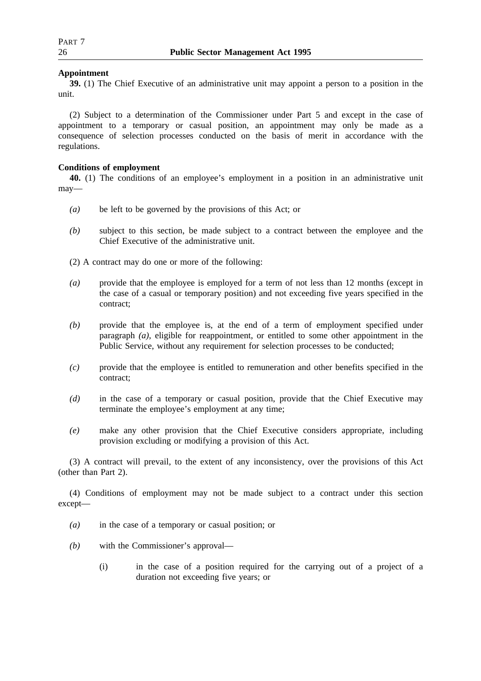# **Appointment**

**39.** (1) The Chief Executive of an administrative unit may appoint a person to a position in the unit.

(2) Subject to a determination of the Commissioner under Part 5 and except in the case of appointment to a temporary or casual position, an appointment may only be made as a consequence of selection processes conducted on the basis of merit in accordance with the regulations.

# **Conditions of employment**

**40.** (1) The conditions of an employee's employment in a position in an administrative unit may—

- *(a)* be left to be governed by the provisions of this Act; or
- *(b)* subject to this section, be made subject to a contract between the employee and the Chief Executive of the administrative unit.
- (2) A contract may do one or more of the following:
- *(a)* provide that the employee is employed for a term of not less than 12 months (except in the case of a casual or temporary position) and not exceeding five years specified in the contract;
- *(b)* provide that the employee is, at the end of a term of employment specified under paragraph *(a)*, eligible for reappointment, or entitled to some other appointment in the Public Service, without any requirement for selection processes to be conducted;
- *(c)* provide that the employee is entitled to remuneration and other benefits specified in the contract;
- *(d)* in the case of a temporary or casual position, provide that the Chief Executive may terminate the employee's employment at any time;
- *(e)* make any other provision that the Chief Executive considers appropriate, including provision excluding or modifying a provision of this Act.

(3) A contract will prevail, to the extent of any inconsistency, over the provisions of this Act (other than Part 2).

(4) Conditions of employment may not be made subject to a contract under this section except—

- *(a)* in the case of a temporary or casual position; or
- *(b)* with the Commissioner's approval—
	- (i) in the case of a position required for the carrying out of a project of a duration not exceeding five years; or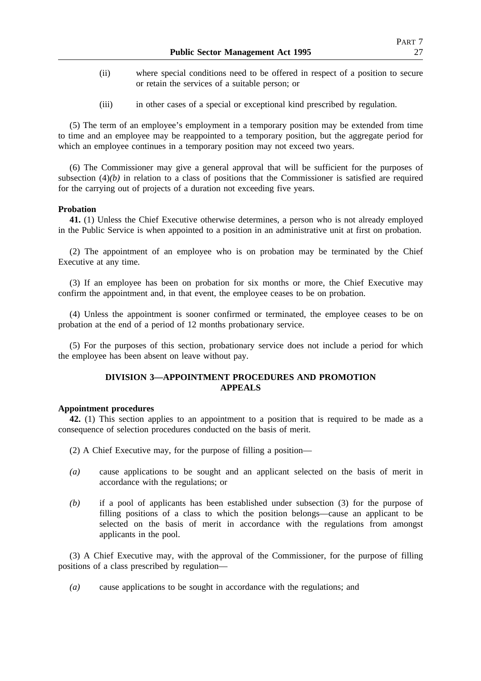- (ii) where special conditions need to be offered in respect of a position to secure or retain the services of a suitable person; or
- (iii) in other cases of a special or exceptional kind prescribed by regulation.

(5) The term of an employee's employment in a temporary position may be extended from time to time and an employee may be reappointed to a temporary position, but the aggregate period for which an employee continues in a temporary position may not exceed two years.

(6) The Commissioner may give a general approval that will be sufficient for the purposes of subsection  $(4)(b)$  in relation to a class of positions that the Commissioner is satisfied are required for the carrying out of projects of a duration not exceeding five years.

# **Probation**

**41.** (1) Unless the Chief Executive otherwise determines, a person who is not already employed in the Public Service is when appointed to a position in an administrative unit at first on probation.

(2) The appointment of an employee who is on probation may be terminated by the Chief Executive at any time.

(3) If an employee has been on probation for six months or more, the Chief Executive may confirm the appointment and, in that event, the employee ceases to be on probation.

(4) Unless the appointment is sooner confirmed or terminated, the employee ceases to be on probation at the end of a period of 12 months probationary service.

(5) For the purposes of this section, probationary service does not include a period for which the employee has been absent on leave without pay.

# **DIVISION 3—APPOINTMENT PROCEDURES AND PROMOTION APPEALS**

### **Appointment procedures**

**42.** (1) This section applies to an appointment to a position that is required to be made as a consequence of selection procedures conducted on the basis of merit.

- (2) A Chief Executive may, for the purpose of filling a position—
- *(a)* cause applications to be sought and an applicant selected on the basis of merit in accordance with the regulations; or
- *(b)* if a pool of applicants has been established under subsection (3) for the purpose of filling positions of a class to which the position belongs—cause an applicant to be selected on the basis of merit in accordance with the regulations from amongst applicants in the pool.

(3) A Chief Executive may, with the approval of the Commissioner, for the purpose of filling positions of a class prescribed by regulation—

*(a)* cause applications to be sought in accordance with the regulations; and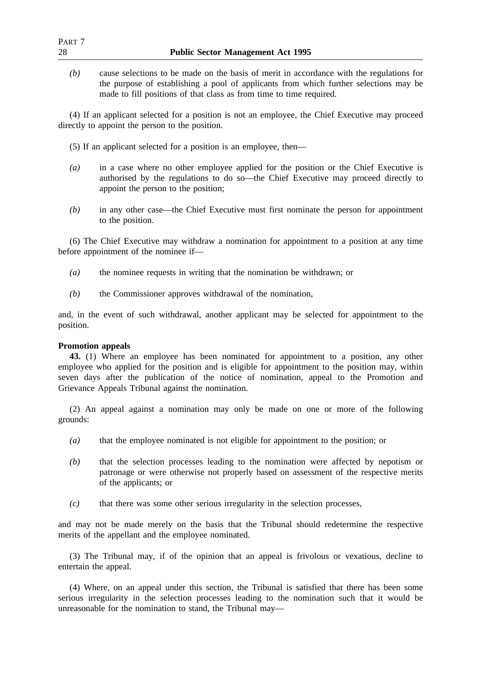*(b)* cause selections to be made on the basis of merit in accordance with the regulations for the purpose of establishing a pool of applicants from which further selections may be made to fill positions of that class as from time to time required.

(4) If an applicant selected for a position is not an employee, the Chief Executive may proceed directly to appoint the person to the position.

- (5) If an applicant selected for a position is an employee, then—
- *(a)* in a case where no other employee applied for the position or the Chief Executive is authorised by the regulations to do so—the Chief Executive may proceed directly to appoint the person to the position;
- *(b)* in any other case—the Chief Executive must first nominate the person for appointment to the position.

(6) The Chief Executive may withdraw a nomination for appointment to a position at any time before appointment of the nominee if—

- *(a)* the nominee requests in writing that the nomination be withdrawn; or
- *(b)* the Commissioner approves withdrawal of the nomination,

and, in the event of such withdrawal, another applicant may be selected for appointment to the position.

## **Promotion appeals**

**43.** (1) Where an employee has been nominated for appointment to a position, any other employee who applied for the position and is eligible for appointment to the position may, within seven days after the publication of the notice of nomination, appeal to the Promotion and Grievance Appeals Tribunal against the nomination.

(2) An appeal against a nomination may only be made on one or more of the following grounds:

- *(a)* that the employee nominated is not eligible for appointment to the position; or
- *(b)* that the selection processes leading to the nomination were affected by nepotism or patronage or were otherwise not properly based on assessment of the respective merits of the applicants; or
- *(c)* that there was some other serious irregularity in the selection processes,

and may not be made merely on the basis that the Tribunal should redetermine the respective merits of the appellant and the employee nominated.

(3) The Tribunal may, if of the opinion that an appeal is frivolous or vexatious, decline to entertain the appeal.

(4) Where, on an appeal under this section, the Tribunal is satisfied that there has been some serious irregularity in the selection processes leading to the nomination such that it would be unreasonable for the nomination to stand, the Tribunal may—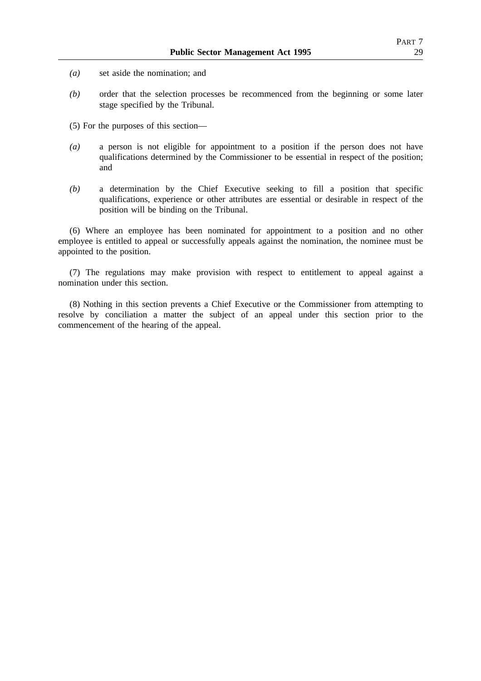- *(a)* set aside the nomination; and
- *(b)* order that the selection processes be recommenced from the beginning or some later stage specified by the Tribunal.
- (5) For the purposes of this section—
- *(a)* a person is not eligible for appointment to a position if the person does not have qualifications determined by the Commissioner to be essential in respect of the position; and
- *(b)* a determination by the Chief Executive seeking to fill a position that specific qualifications, experience or other attributes are essential or desirable in respect of the position will be binding on the Tribunal.

(6) Where an employee has been nominated for appointment to a position and no other employee is entitled to appeal or successfully appeals against the nomination, the nominee must be appointed to the position.

(7) The regulations may make provision with respect to entitlement to appeal against a nomination under this section.

(8) Nothing in this section prevents a Chief Executive or the Commissioner from attempting to resolve by conciliation a matter the subject of an appeal under this section prior to the commencement of the hearing of the appeal.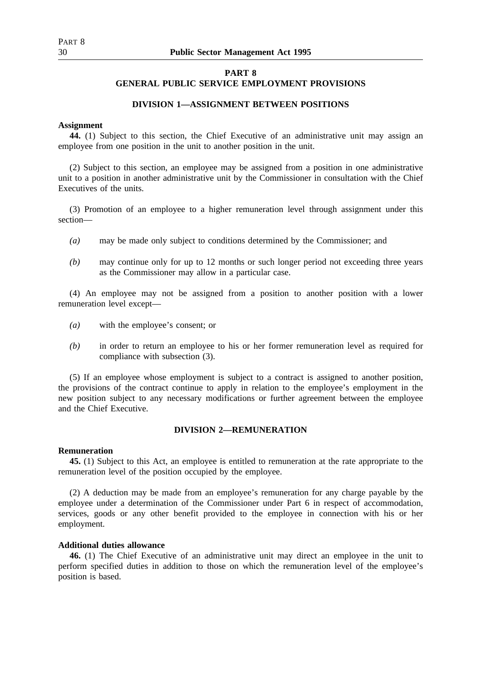## **PART 8**

# **GENERAL PUBLIC SERVICE EMPLOYMENT PROVISIONS**

# **DIVISION 1—ASSIGNMENT BETWEEN POSITIONS**

#### **Assignment**

**44.** (1) Subject to this section, the Chief Executive of an administrative unit may assign an employee from one position in the unit to another position in the unit.

(2) Subject to this section, an employee may be assigned from a position in one administrative unit to a position in another administrative unit by the Commissioner in consultation with the Chief Executives of the units.

(3) Promotion of an employee to a higher remuneration level through assignment under this section—

- *(a)* may be made only subject to conditions determined by the Commissioner; and
- *(b)* may continue only for up to 12 months or such longer period not exceeding three years as the Commissioner may allow in a particular case.

(4) An employee may not be assigned from a position to another position with a lower remuneration level except—

- *(a)* with the employee's consent; or
- *(b)* in order to return an employee to his or her former remuneration level as required for compliance with subsection (3).

(5) If an employee whose employment is subject to a contract is assigned to another position, the provisions of the contract continue to apply in relation to the employee's employment in the new position subject to any necessary modifications or further agreement between the employee and the Chief Executive.

## **DIVISION 2—REMUNERATION**

#### **Remuneration**

**45.** (1) Subject to this Act, an employee is entitled to remuneration at the rate appropriate to the remuneration level of the position occupied by the employee.

(2) A deduction may be made from an employee's remuneration for any charge payable by the employee under a determination of the Commissioner under Part 6 in respect of accommodation, services, goods or any other benefit provided to the employee in connection with his or her employment.

# **Additional duties allowance**

**46.** (1) The Chief Executive of an administrative unit may direct an employee in the unit to perform specified duties in addition to those on which the remuneration level of the employee's position is based.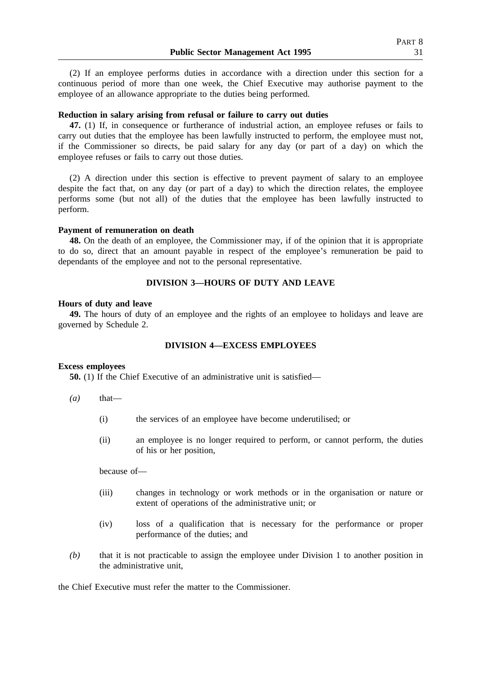(2) If an employee performs duties in accordance with a direction under this section for a continuous period of more than one week, the Chief Executive may authorise payment to the employee of an allowance appropriate to the duties being performed.

# **Reduction in salary arising from refusal or failure to carry out duties**

**47.** (1) If, in consequence or furtherance of industrial action, an employee refuses or fails to carry out duties that the employee has been lawfully instructed to perform, the employee must not, if the Commissioner so directs, be paid salary for any day (or part of a day) on which the employee refuses or fails to carry out those duties.

(2) A direction under this section is effective to prevent payment of salary to an employee despite the fact that, on any day (or part of a day) to which the direction relates, the employee performs some (but not all) of the duties that the employee has been lawfully instructed to perform.

#### **Payment of remuneration on death**

**48.** On the death of an employee, the Commissioner may, if of the opinion that it is appropriate to do so, direct that an amount payable in respect of the employee's remuneration be paid to dependants of the employee and not to the personal representative.

# **DIVISION 3—HOURS OF DUTY AND LEAVE**

#### **Hours of duty and leave**

**49.** The hours of duty of an employee and the rights of an employee to holidays and leave are governed by Schedule 2.

# **DIVISION 4—EXCESS EMPLOYEES**

## **Excess employees**

**50.** (1) If the Chief Executive of an administrative unit is satisfied—

- $(a)$  that—
	- (i) the services of an employee have become underutilised; or
	- (ii) an employee is no longer required to perform, or cannot perform, the duties of his or her position,

because of—

- (iii) changes in technology or work methods or in the organisation or nature or extent of operations of the administrative unit; or
- (iv) loss of a qualification that is necessary for the performance or proper performance of the duties; and
- *(b)* that it is not practicable to assign the employee under Division 1 to another position in the administrative unit,

the Chief Executive must refer the matter to the Commissioner.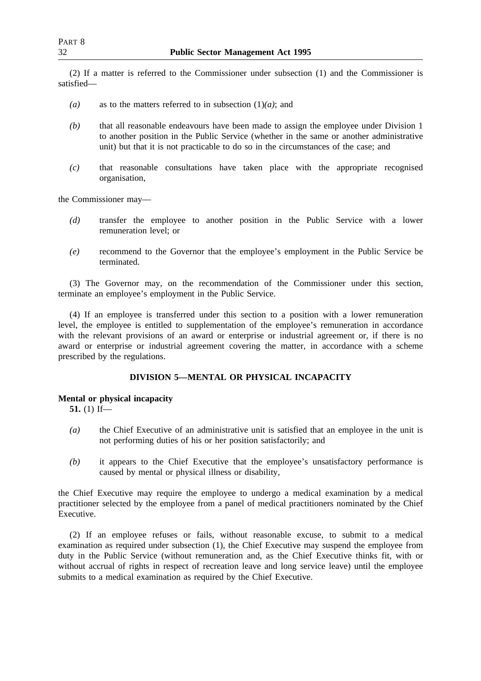(2) If a matter is referred to the Commissioner under subsection (1) and the Commissioner is satisfied—

- *(a)* as to the matters referred to in subsection (1)*(a)*; and
- *(b)* that all reasonable endeavours have been made to assign the employee under Division 1 to another position in the Public Service (whether in the same or another administrative unit) but that it is not practicable to do so in the circumstances of the case; and
- *(c)* that reasonable consultations have taken place with the appropriate recognised organisation,

the Commissioner may—

- *(d)* transfer the employee to another position in the Public Service with a lower remuneration level; or
- *(e)* recommend to the Governor that the employee's employment in the Public Service be terminated.

(3) The Governor may, on the recommendation of the Commissioner under this section, terminate an employee's employment in the Public Service.

(4) If an employee is transferred under this section to a position with a lower remuneration level, the employee is entitled to supplementation of the employee's remuneration in accordance with the relevant provisions of an award or enterprise or industrial agreement or, if there is no award or enterprise or industrial agreement covering the matter, in accordance with a scheme prescribed by the regulations.

# **DIVISION 5—MENTAL OR PHYSICAL INCAPACITY**

# **Mental or physical incapacity**

**51.** (1) If—

- *(a)* the Chief Executive of an administrative unit is satisfied that an employee in the unit is not performing duties of his or her position satisfactorily; and
- *(b)* it appears to the Chief Executive that the employee's unsatisfactory performance is caused by mental or physical illness or disability,

the Chief Executive may require the employee to undergo a medical examination by a medical practitioner selected by the employee from a panel of medical practitioners nominated by the Chief Executive.

(2) If an employee refuses or fails, without reasonable excuse, to submit to a medical examination as required under subsection (1), the Chief Executive may suspend the employee from duty in the Public Service (without remuneration and, as the Chief Executive thinks fit, with or without accrual of rights in respect of recreation leave and long service leave) until the employee submits to a medical examination as required by the Chief Executive.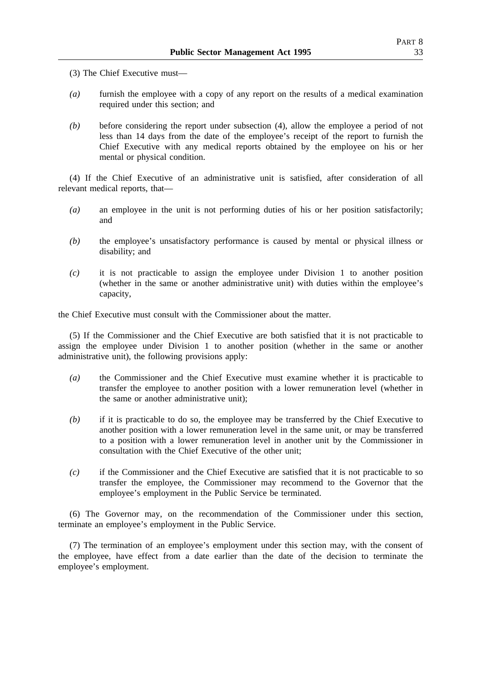- (3) The Chief Executive must—
- *(a)* furnish the employee with a copy of any report on the results of a medical examination required under this section; and
- *(b)* before considering the report under subsection (4), allow the employee a period of not less than 14 days from the date of the employee's receipt of the report to furnish the Chief Executive with any medical reports obtained by the employee on his or her mental or physical condition.

(4) If the Chief Executive of an administrative unit is satisfied, after consideration of all relevant medical reports, that—

- *(a)* an employee in the unit is not performing duties of his or her position satisfactorily; and
- *(b)* the employee's unsatisfactory performance is caused by mental or physical illness or disability; and
- *(c)* it is not practicable to assign the employee under Division 1 to another position (whether in the same or another administrative unit) with duties within the employee's capacity,

the Chief Executive must consult with the Commissioner about the matter.

(5) If the Commissioner and the Chief Executive are both satisfied that it is not practicable to assign the employee under Division 1 to another position (whether in the same or another administrative unit), the following provisions apply:

- *(a)* the Commissioner and the Chief Executive must examine whether it is practicable to transfer the employee to another position with a lower remuneration level (whether in the same or another administrative unit);
- *(b)* if it is practicable to do so, the employee may be transferred by the Chief Executive to another position with a lower remuneration level in the same unit, or may be transferred to a position with a lower remuneration level in another unit by the Commissioner in consultation with the Chief Executive of the other unit;
- *(c)* if the Commissioner and the Chief Executive are satisfied that it is not practicable to so transfer the employee, the Commissioner may recommend to the Governor that the employee's employment in the Public Service be terminated.

(6) The Governor may, on the recommendation of the Commissioner under this section, terminate an employee's employment in the Public Service.

(7) The termination of an employee's employment under this section may, with the consent of the employee, have effect from a date earlier than the date of the decision to terminate the employee's employment.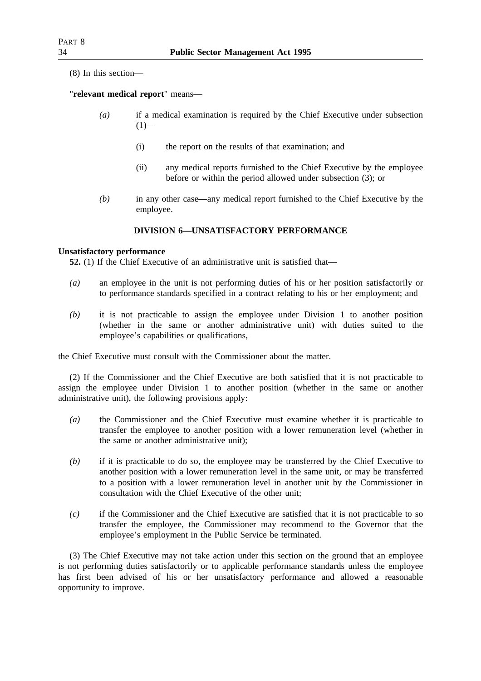(8) In this section—

"**relevant medical report**" means—

- *(a)* if a medical examination is required by the Chief Executive under subsection  $(1)$ —
	- (i) the report on the results of that examination; and
	- (ii) any medical reports furnished to the Chief Executive by the employee before or within the period allowed under subsection (3); or
- *(b)* in any other case—any medical report furnished to the Chief Executive by the employee.

# **DIVISION 6—UNSATISFACTORY PERFORMANCE**

# **Unsatisfactory performance**

**52.** (1) If the Chief Executive of an administrative unit is satisfied that—

- *(a)* an employee in the unit is not performing duties of his or her position satisfactorily or to performance standards specified in a contract relating to his or her employment; and
- *(b)* it is not practicable to assign the employee under Division 1 to another position (whether in the same or another administrative unit) with duties suited to the employee's capabilities or qualifications,

the Chief Executive must consult with the Commissioner about the matter.

(2) If the Commissioner and the Chief Executive are both satisfied that it is not practicable to assign the employee under Division 1 to another position (whether in the same or another administrative unit), the following provisions apply:

- *(a)* the Commissioner and the Chief Executive must examine whether it is practicable to transfer the employee to another position with a lower remuneration level (whether in the same or another administrative unit);
- *(b)* if it is practicable to do so, the employee may be transferred by the Chief Executive to another position with a lower remuneration level in the same unit, or may be transferred to a position with a lower remuneration level in another unit by the Commissioner in consultation with the Chief Executive of the other unit;
- *(c)* if the Commissioner and the Chief Executive are satisfied that it is not practicable to so transfer the employee, the Commissioner may recommend to the Governor that the employee's employment in the Public Service be terminated.

(3) The Chief Executive may not take action under this section on the ground that an employee is not performing duties satisfactorily or to applicable performance standards unless the employee has first been advised of his or her unsatisfactory performance and allowed a reasonable opportunity to improve.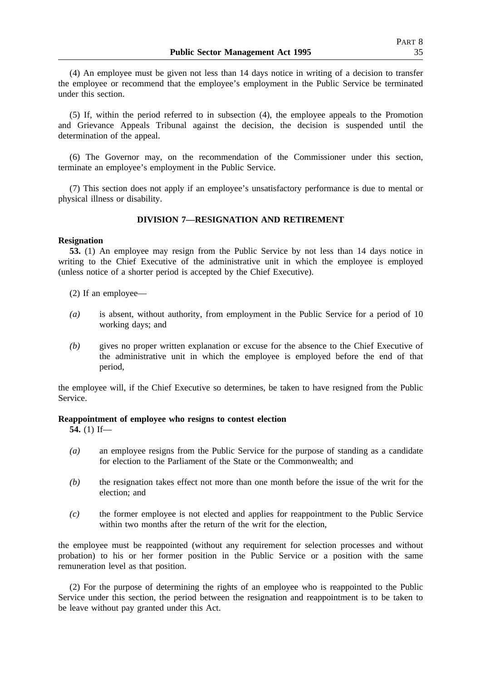(4) An employee must be given not less than 14 days notice in writing of a decision to transfer the employee or recommend that the employee's employment in the Public Service be terminated under this section.

(5) If, within the period referred to in subsection (4), the employee appeals to the Promotion and Grievance Appeals Tribunal against the decision, the decision is suspended until the determination of the appeal.

(6) The Governor may, on the recommendation of the Commissioner under this section, terminate an employee's employment in the Public Service.

(7) This section does not apply if an employee's unsatisfactory performance is due to mental or physical illness or disability.

# **DIVISION 7—RESIGNATION AND RETIREMENT**

### **Resignation**

**53.** (1) An employee may resign from the Public Service by not less than 14 days notice in writing to the Chief Executive of the administrative unit in which the employee is employed (unless notice of a shorter period is accepted by the Chief Executive).

(2) If an employee—

- *(a)* is absent, without authority, from employment in the Public Service for a period of 10 working days; and
- *(b)* gives no proper written explanation or excuse for the absence to the Chief Executive of the administrative unit in which the employee is employed before the end of that period,

the employee will, if the Chief Executive so determines, be taken to have resigned from the Public Service.

## **Reappointment of employee who resigns to contest election**

**54.** (1) If—

- *(a)* an employee resigns from the Public Service for the purpose of standing as a candidate for election to the Parliament of the State or the Commonwealth; and
- *(b)* the resignation takes effect not more than one month before the issue of the writ for the election; and
- *(c)* the former employee is not elected and applies for reappointment to the Public Service within two months after the return of the writ for the election,

the employee must be reappointed (without any requirement for selection processes and without probation) to his or her former position in the Public Service or a position with the same remuneration level as that position.

(2) For the purpose of determining the rights of an employee who is reappointed to the Public Service under this section, the period between the resignation and reappointment is to be taken to be leave without pay granted under this Act.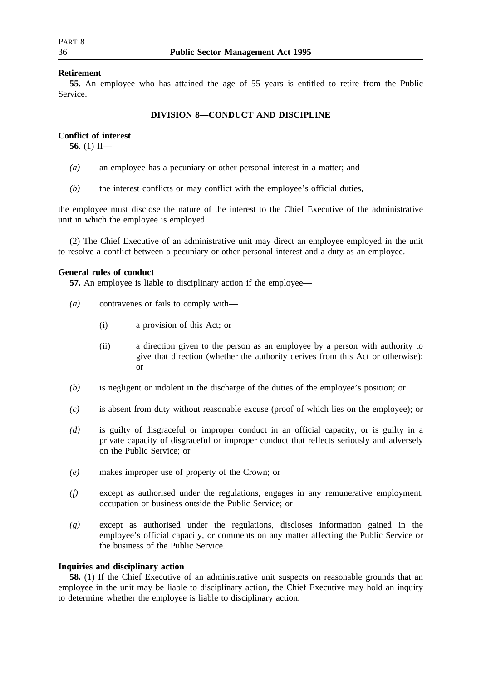## **Retirement**

**55.** An employee who has attained the age of 55 years is entitled to retire from the Public Service.

# **DIVISION 8—CONDUCT AND DISCIPLINE**

## **Conflict of interest**

**56.** (1) If—

- *(a)* an employee has a pecuniary or other personal interest in a matter; and
- *(b)* the interest conflicts or may conflict with the employee's official duties,

the employee must disclose the nature of the interest to the Chief Executive of the administrative unit in which the employee is employed.

(2) The Chief Executive of an administrative unit may direct an employee employed in the unit to resolve a conflict between a pecuniary or other personal interest and a duty as an employee.

## **General rules of conduct**

**57.** An employee is liable to disciplinary action if the employee—

- *(a)* contravenes or fails to comply with—
	- (i) a provision of this Act; or
	- (ii) a direction given to the person as an employee by a person with authority to give that direction (whether the authority derives from this Act or otherwise); or
- *(b)* is negligent or indolent in the discharge of the duties of the employee's position; or
- *(c)* is absent from duty without reasonable excuse (proof of which lies on the employee); or
- *(d)* is guilty of disgraceful or improper conduct in an official capacity, or is guilty in a private capacity of disgraceful or improper conduct that reflects seriously and adversely on the Public Service; or
- *(e)* makes improper use of property of the Crown; or
- *(f)* except as authorised under the regulations, engages in any remunerative employment, occupation or business outside the Public Service; or
- *(g)* except as authorised under the regulations, discloses information gained in the employee's official capacity, or comments on any matter affecting the Public Service or the business of the Public Service.

# **Inquiries and disciplinary action**

**58.** (1) If the Chief Executive of an administrative unit suspects on reasonable grounds that an employee in the unit may be liable to disciplinary action, the Chief Executive may hold an inquiry to determine whether the employee is liable to disciplinary action.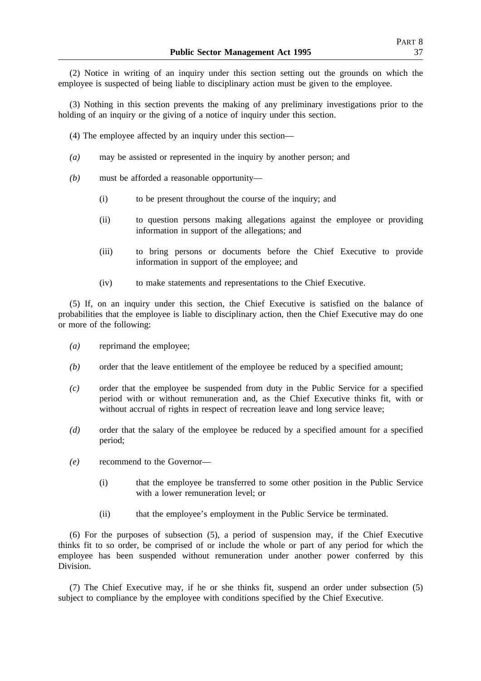(2) Notice in writing of an inquiry under this section setting out the grounds on which the employee is suspected of being liable to disciplinary action must be given to the employee.

(3) Nothing in this section prevents the making of any preliminary investigations prior to the holding of an inquiry or the giving of a notice of inquiry under this section.

- (4) The employee affected by an inquiry under this section—
- *(a)* may be assisted or represented in the inquiry by another person; and
- *(b)* must be afforded a reasonable opportunity—
	- (i) to be present throughout the course of the inquiry; and
	- (ii) to question persons making allegations against the employee or providing information in support of the allegations; and
	- (iii) to bring persons or documents before the Chief Executive to provide information in support of the employee; and
	- (iv) to make statements and representations to the Chief Executive.

(5) If, on an inquiry under this section, the Chief Executive is satisfied on the balance of probabilities that the employee is liable to disciplinary action, then the Chief Executive may do one or more of the following:

- *(a)* reprimand the employee;
- *(b)* order that the leave entitlement of the employee be reduced by a specified amount;
- *(c)* order that the employee be suspended from duty in the Public Service for a specified period with or without remuneration and, as the Chief Executive thinks fit, with or without accrual of rights in respect of recreation leave and long service leave;
- *(d)* order that the salary of the employee be reduced by a specified amount for a specified period;
- *(e)* recommend to the Governor—
	- (i) that the employee be transferred to some other position in the Public Service with a lower remuneration level; or
	- (ii) that the employee's employment in the Public Service be terminated.

(6) For the purposes of subsection (5), a period of suspension may, if the Chief Executive thinks fit to so order, be comprised of or include the whole or part of any period for which the employee has been suspended without remuneration under another power conferred by this Division.

(7) The Chief Executive may, if he or she thinks fit, suspend an order under subsection (5) subject to compliance by the employee with conditions specified by the Chief Executive.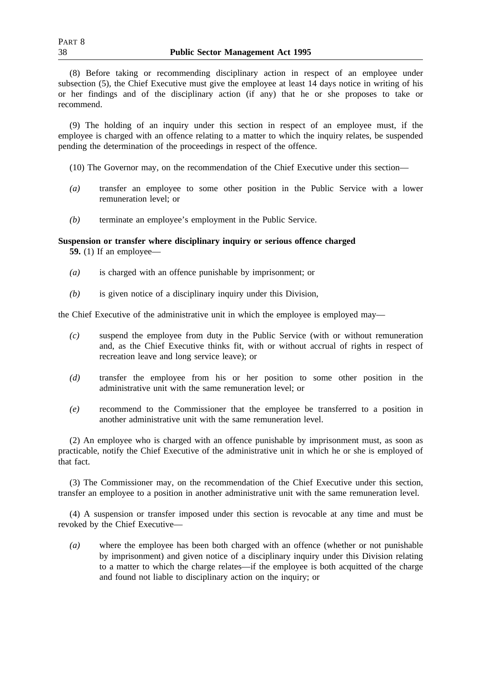(8) Before taking or recommending disciplinary action in respect of an employee under subsection (5), the Chief Executive must give the employee at least 14 days notice in writing of his or her findings and of the disciplinary action (if any) that he or she proposes to take or recommend.

(9) The holding of an inquiry under this section in respect of an employee must, if the employee is charged with an offence relating to a matter to which the inquiry relates, be suspended pending the determination of the proceedings in respect of the offence.

(10) The Governor may, on the recommendation of the Chief Executive under this section—

- *(a)* transfer an employee to some other position in the Public Service with a lower remuneration level; or
- *(b)* terminate an employee's employment in the Public Service.

# **Suspension or transfer where disciplinary inquiry or serious offence charged**

**59.** (1) If an employee—

- *(a)* is charged with an offence punishable by imprisonment; or
- *(b)* is given notice of a disciplinary inquiry under this Division,

the Chief Executive of the administrative unit in which the employee is employed may—

- *(c)* suspend the employee from duty in the Public Service (with or without remuneration and, as the Chief Executive thinks fit, with or without accrual of rights in respect of recreation leave and long service leave); or
- *(d)* transfer the employee from his or her position to some other position in the administrative unit with the same remuneration level; or
- *(e)* recommend to the Commissioner that the employee be transferred to a position in another administrative unit with the same remuneration level.

(2) An employee who is charged with an offence punishable by imprisonment must, as soon as practicable, notify the Chief Executive of the administrative unit in which he or she is employed of that fact.

(3) The Commissioner may, on the recommendation of the Chief Executive under this section, transfer an employee to a position in another administrative unit with the same remuneration level.

(4) A suspension or transfer imposed under this section is revocable at any time and must be revoked by the Chief Executive—

*(a)* where the employee has been both charged with an offence (whether or not punishable by imprisonment) and given notice of a disciplinary inquiry under this Division relating to a matter to which the charge relates—if the employee is both acquitted of the charge and found not liable to disciplinary action on the inquiry; or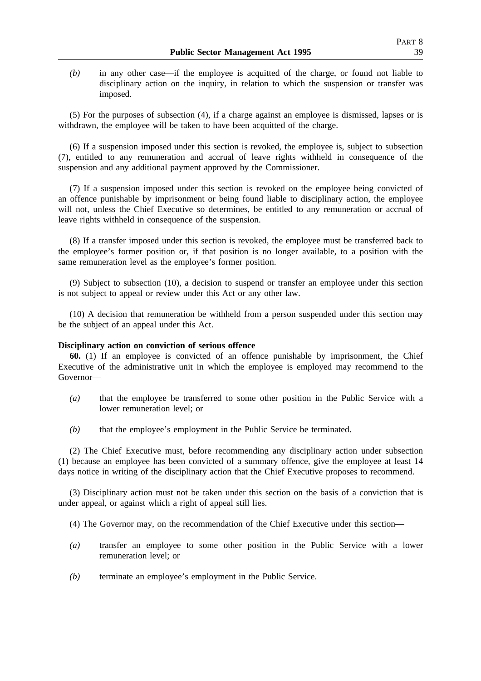*(b)* in any other case—if the employee is acquitted of the charge, or found not liable to disciplinary action on the inquiry, in relation to which the suspension or transfer was imposed.

(5) For the purposes of subsection (4), if a charge against an employee is dismissed, lapses or is withdrawn, the employee will be taken to have been acquitted of the charge.

(6) If a suspension imposed under this section is revoked, the employee is, subject to subsection (7), entitled to any remuneration and accrual of leave rights withheld in consequence of the suspension and any additional payment approved by the Commissioner.

(7) If a suspension imposed under this section is revoked on the employee being convicted of an offence punishable by imprisonment or being found liable to disciplinary action, the employee will not, unless the Chief Executive so determines, be entitled to any remuneration or accrual of leave rights withheld in consequence of the suspension.

(8) If a transfer imposed under this section is revoked, the employee must be transferred back to the employee's former position or, if that position is no longer available, to a position with the same remuneration level as the employee's former position.

(9) Subject to subsection (10), a decision to suspend or transfer an employee under this section is not subject to appeal or review under this Act or any other law.

(10) A decision that remuneration be withheld from a person suspended under this section may be the subject of an appeal under this Act.

# **Disciplinary action on conviction of serious offence**

**60.** (1) If an employee is convicted of an offence punishable by imprisonment, the Chief Executive of the administrative unit in which the employee is employed may recommend to the Governor—

- *(a)* that the employee be transferred to some other position in the Public Service with a lower remuneration level; or
- *(b)* that the employee's employment in the Public Service be terminated.

(2) The Chief Executive must, before recommending any disciplinary action under subsection (1) because an employee has been convicted of a summary offence, give the employee at least 14 days notice in writing of the disciplinary action that the Chief Executive proposes to recommend.

(3) Disciplinary action must not be taken under this section on the basis of a conviction that is under appeal, or against which a right of appeal still lies.

(4) The Governor may, on the recommendation of the Chief Executive under this section—

- *(a)* transfer an employee to some other position in the Public Service with a lower remuneration level; or
- *(b)* terminate an employee's employment in the Public Service.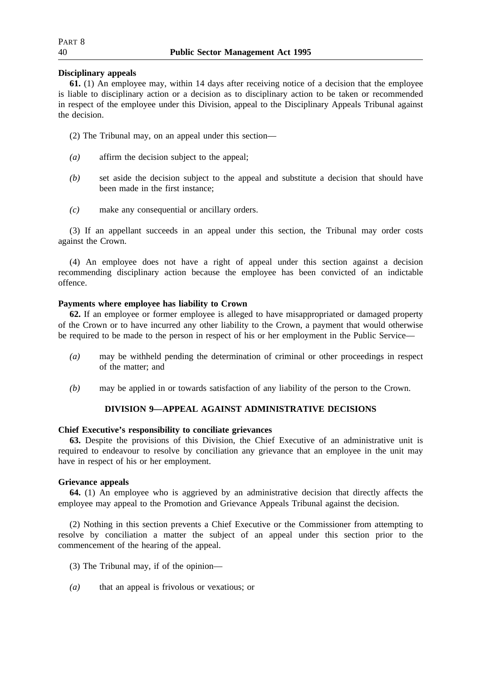# **Disciplinary appeals**

**61.** (1) An employee may, within 14 days after receiving notice of a decision that the employee is liable to disciplinary action or a decision as to disciplinary action to be taken or recommended in respect of the employee under this Division, appeal to the Disciplinary Appeals Tribunal against the decision.

- (2) The Tribunal may, on an appeal under this section—
- *(a)* affirm the decision subject to the appeal;
- *(b)* set aside the decision subject to the appeal and substitute a decision that should have been made in the first instance;
- *(c)* make any consequential or ancillary orders.

(3) If an appellant succeeds in an appeal under this section, the Tribunal may order costs against the Crown.

(4) An employee does not have a right of appeal under this section against a decision recommending disciplinary action because the employee has been convicted of an indictable offence.

# **Payments where employee has liability to Crown**

**62.** If an employee or former employee is alleged to have misappropriated or damaged property of the Crown or to have incurred any other liability to the Crown, a payment that would otherwise be required to be made to the person in respect of his or her employment in the Public Service—

- *(a)* may be withheld pending the determination of criminal or other proceedings in respect of the matter; and
- *(b)* may be applied in or towards satisfaction of any liability of the person to the Crown.

# **DIVISION 9—APPEAL AGAINST ADMINISTRATIVE DECISIONS**

# **Chief Executive's responsibility to conciliate grievances**

**63.** Despite the provisions of this Division, the Chief Executive of an administrative unit is required to endeavour to resolve by conciliation any grievance that an employee in the unit may have in respect of his or her employment.

# **Grievance appeals**

**64.** (1) An employee who is aggrieved by an administrative decision that directly affects the employee may appeal to the Promotion and Grievance Appeals Tribunal against the decision.

(2) Nothing in this section prevents a Chief Executive or the Commissioner from attempting to resolve by conciliation a matter the subject of an appeal under this section prior to the commencement of the hearing of the appeal.

- (3) The Tribunal may, if of the opinion—
- *(a)* that an appeal is frivolous or vexatious; or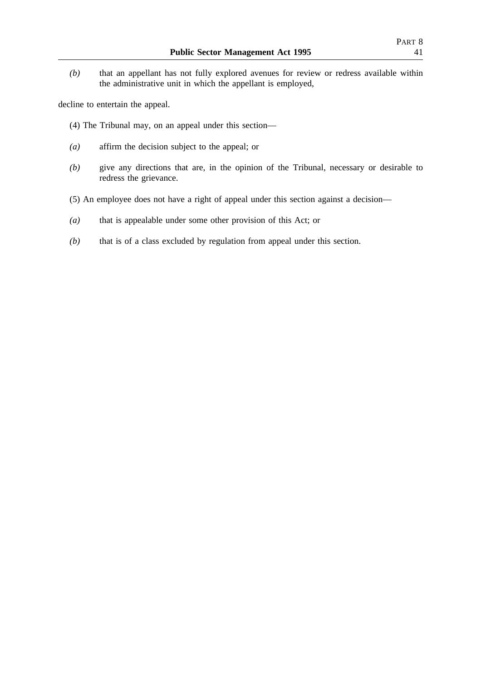*(b)* that an appellant has not fully explored avenues for review or redress available within the administrative unit in which the appellant is employed,

decline to entertain the appeal.

- (4) The Tribunal may, on an appeal under this section—
- *(a)* affirm the decision subject to the appeal; or
- *(b)* give any directions that are, in the opinion of the Tribunal, necessary or desirable to redress the grievance.
- (5) An employee does not have a right of appeal under this section against a decision—
- *(a)* that is appealable under some other provision of this Act; or
- *(b)* that is of a class excluded by regulation from appeal under this section.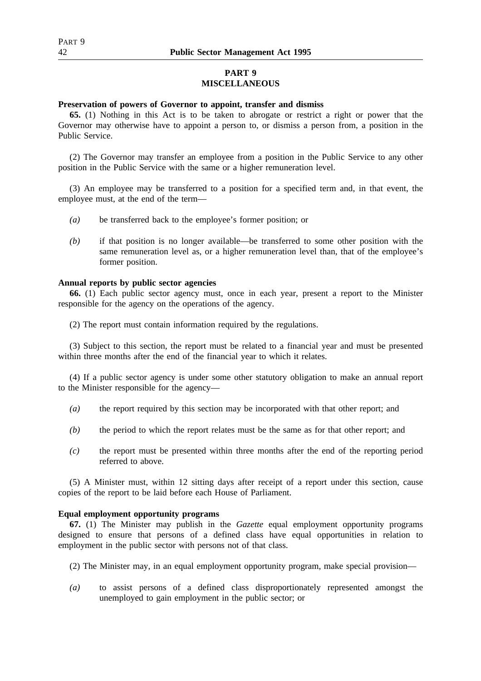# **PART 9 MISCELLANEOUS**

# **Preservation of powers of Governor to appoint, transfer and dismiss**

**65.** (1) Nothing in this Act is to be taken to abrogate or restrict a right or power that the Governor may otherwise have to appoint a person to, or dismiss a person from, a position in the Public Service.

(2) The Governor may transfer an employee from a position in the Public Service to any other position in the Public Service with the same or a higher remuneration level.

(3) An employee may be transferred to a position for a specified term and, in that event, the employee must, at the end of the term—

- *(a)* be transferred back to the employee's former position; or
- *(b)* if that position is no longer available—be transferred to some other position with the same remuneration level as, or a higher remuneration level than, that of the employee's former position.

# **Annual reports by public sector agencies**

**66.** (1) Each public sector agency must, once in each year, present a report to the Minister responsible for the agency on the operations of the agency.

(2) The report must contain information required by the regulations.

(3) Subject to this section, the report must be related to a financial year and must be presented within three months after the end of the financial year to which it relates.

(4) If a public sector agency is under some other statutory obligation to make an annual report to the Minister responsible for the agency—

- *(a)* the report required by this section may be incorporated with that other report; and
- *(b)* the period to which the report relates must be the same as for that other report; and
- *(c)* the report must be presented within three months after the end of the reporting period referred to above.

(5) A Minister must, within 12 sitting days after receipt of a report under this section, cause copies of the report to be laid before each House of Parliament.

# **Equal employment opportunity programs**

**67.** (1) The Minister may publish in the *Gazette* equal employment opportunity programs designed to ensure that persons of a defined class have equal opportunities in relation to employment in the public sector with persons not of that class.

- (2) The Minister may, in an equal employment opportunity program, make special provision—
- *(a)* to assist persons of a defined class disproportionately represented amongst the unemployed to gain employment in the public sector; or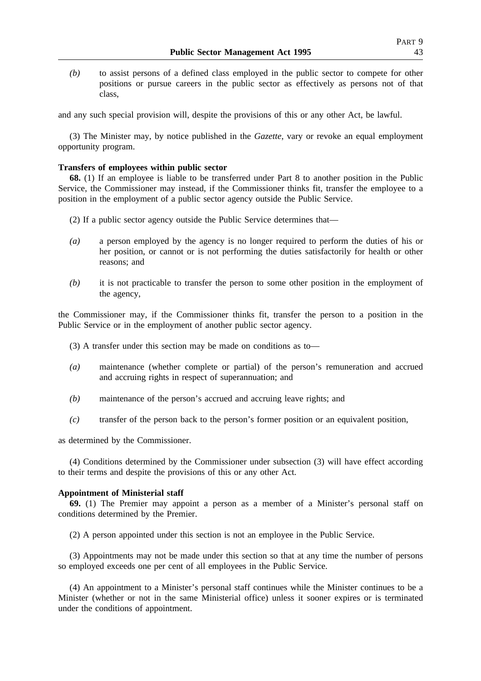*(b)* to assist persons of a defined class employed in the public sector to compete for other positions or pursue careers in the public sector as effectively as persons not of that class,

and any such special provision will, despite the provisions of this or any other Act, be lawful.

(3) The Minister may, by notice published in the *Gazette*, vary or revoke an equal employment opportunity program.

### **Transfers of employees within public sector**

**68.** (1) If an employee is liable to be transferred under Part 8 to another position in the Public Service, the Commissioner may instead, if the Commissioner thinks fit, transfer the employee to a position in the employment of a public sector agency outside the Public Service.

- (2) If a public sector agency outside the Public Service determines that—
- *(a)* a person employed by the agency is no longer required to perform the duties of his or her position, or cannot or is not performing the duties satisfactorily for health or other reasons; and
- *(b)* it is not practicable to transfer the person to some other position in the employment of the agency,

the Commissioner may, if the Commissioner thinks fit, transfer the person to a position in the Public Service or in the employment of another public sector agency.

- (3) A transfer under this section may be made on conditions as to—
- *(a)* maintenance (whether complete or partial) of the person's remuneration and accrued and accruing rights in respect of superannuation; and
- *(b)* maintenance of the person's accrued and accruing leave rights; and
- *(c)* transfer of the person back to the person's former position or an equivalent position,

as determined by the Commissioner.

(4) Conditions determined by the Commissioner under subsection (3) will have effect according to their terms and despite the provisions of this or any other Act.

# **Appointment of Ministerial staff**

**69.** (1) The Premier may appoint a person as a member of a Minister's personal staff on conditions determined by the Premier.

(2) A person appointed under this section is not an employee in the Public Service.

(3) Appointments may not be made under this section so that at any time the number of persons so employed exceeds one per cent of all employees in the Public Service.

(4) An appointment to a Minister's personal staff continues while the Minister continues to be a Minister (whether or not in the same Ministerial office) unless it sooner expires or is terminated under the conditions of appointment.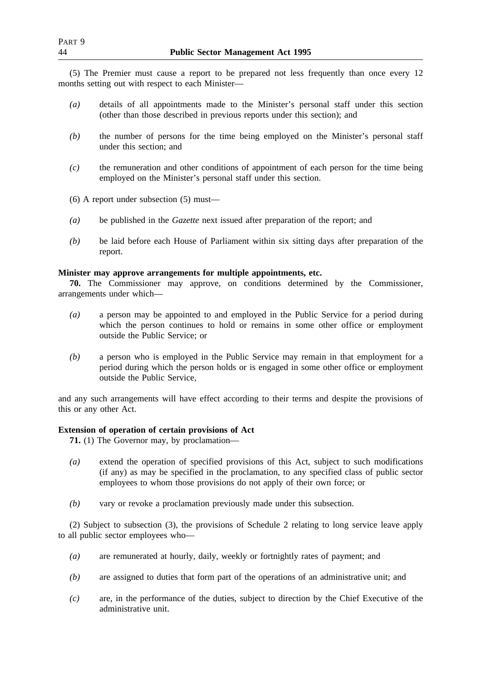(5) The Premier must cause a report to be prepared not less frequently than once every 12 months setting out with respect to each Minister—

- *(a)* details of all appointments made to the Minister's personal staff under this section (other than those described in previous reports under this section); and
- *(b)* the number of persons for the time being employed on the Minister's personal staff under this section; and
- *(c)* the remuneration and other conditions of appointment of each person for the time being employed on the Minister's personal staff under this section.

(6) A report under subsection (5) must—

- *(a)* be published in the *Gazette* next issued after preparation of the report; and
- *(b)* be laid before each House of Parliament within six sitting days after preparation of the report.

# **Minister may approve arrangements for multiple appointments, etc.**

**70.** The Commissioner may approve, on conditions determined by the Commissioner, arrangements under which—

- *(a)* a person may be appointed to and employed in the Public Service for a period during which the person continues to hold or remains in some other office or employment outside the Public Service; or
- *(b)* a person who is employed in the Public Service may remain in that employment for a period during which the person holds or is engaged in some other office or employment outside the Public Service,

and any such arrangements will have effect according to their terms and despite the provisions of this or any other Act.

# **Extension of operation of certain provisions of Act**

**71.** (1) The Governor may, by proclamation—

- *(a)* extend the operation of specified provisions of this Act, subject to such modifications (if any) as may be specified in the proclamation, to any specified class of public sector employees to whom those provisions do not apply of their own force; or
- *(b)* vary or revoke a proclamation previously made under this subsection.

(2) Subject to subsection (3), the provisions of Schedule 2 relating to long service leave apply to all public sector employees who—

- *(a)* are remunerated at hourly, daily, weekly or fortnightly rates of payment; and
- *(b)* are assigned to duties that form part of the operations of an administrative unit; and
- *(c)* are, in the performance of the duties, subject to direction by the Chief Executive of the administrative unit.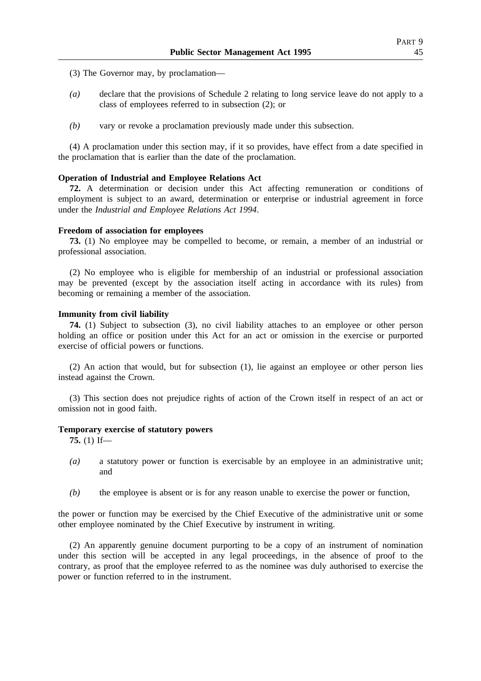- (3) The Governor may, by proclamation—
- *(a)* declare that the provisions of Schedule 2 relating to long service leave do not apply to a class of employees referred to in subsection (2); or
- *(b)* vary or revoke a proclamation previously made under this subsection.

(4) A proclamation under this section may, if it so provides, have effect from a date specified in the proclamation that is earlier than the date of the proclamation.

### **Operation of Industrial and Employee Relations Act**

**72.** A determination or decision under this Act affecting remuneration or conditions of employment is subject to an award, determination or enterprise or industrial agreement in force under the *Industrial and Employee Relations Act 1994*.

#### **Freedom of association for employees**

**73.** (1) No employee may be compelled to become, or remain, a member of an industrial or professional association.

(2) No employee who is eligible for membership of an industrial or professional association may be prevented (except by the association itself acting in accordance with its rules) from becoming or remaining a member of the association.

## **Immunity from civil liability**

**74.** (1) Subject to subsection (3), no civil liability attaches to an employee or other person holding an office or position under this Act for an act or omission in the exercise or purported exercise of official powers or functions.

(2) An action that would, but for subsection (1), lie against an employee or other person lies instead against the Crown.

(3) This section does not prejudice rights of action of the Crown itself in respect of an act or omission not in good faith.

## **Temporary exercise of statutory powers**

**75.** (1) If—

- *(a)* a statutory power or function is exercisable by an employee in an administrative unit; and
- *(b)* the employee is absent or is for any reason unable to exercise the power or function,

the power or function may be exercised by the Chief Executive of the administrative unit or some other employee nominated by the Chief Executive by instrument in writing.

(2) An apparently genuine document purporting to be a copy of an instrument of nomination under this section will be accepted in any legal proceedings, in the absence of proof to the contrary, as proof that the employee referred to as the nominee was duly authorised to exercise the power or function referred to in the instrument.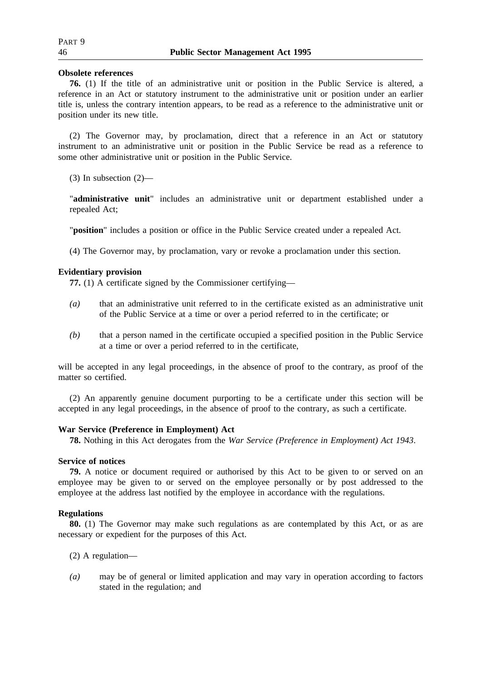# **Obsolete references**

**76.** (1) If the title of an administrative unit or position in the Public Service is altered, a reference in an Act or statutory instrument to the administrative unit or position under an earlier title is, unless the contrary intention appears, to be read as a reference to the administrative unit or position under its new title.

(2) The Governor may, by proclamation, direct that a reference in an Act or statutory instrument to an administrative unit or position in the Public Service be read as a reference to some other administrative unit or position in the Public Service.

(3) In subsection (2)—

"**administrative unit**" includes an administrative unit or department established under a repealed Act;

"**position**" includes a position or office in the Public Service created under a repealed Act.

(4) The Governor may, by proclamation, vary or revoke a proclamation under this section.

# **Evidentiary provision**

**77.** (1) A certificate signed by the Commissioner certifying—

- *(a)* that an administrative unit referred to in the certificate existed as an administrative unit of the Public Service at a time or over a period referred to in the certificate; or
- *(b)* that a person named in the certificate occupied a specified position in the Public Service at a time or over a period referred to in the certificate,

will be accepted in any legal proceedings, in the absence of proof to the contrary, as proof of the matter so certified.

(2) An apparently genuine document purporting to be a certificate under this section will be accepted in any legal proceedings, in the absence of proof to the contrary, as such a certificate.

# **War Service (Preference in Employment) Act**

**78.** Nothing in this Act derogates from the *War Service (Preference in Employment) Act 1943*.

# **Service of notices**

**79.** A notice or document required or authorised by this Act to be given to or served on an employee may be given to or served on the employee personally or by post addressed to the employee at the address last notified by the employee in accordance with the regulations.

# **Regulations**

**80.** (1) The Governor may make such regulations as are contemplated by this Act, or as are necessary or expedient for the purposes of this Act.

(2) A regulation—

*(a)* may be of general or limited application and may vary in operation according to factors stated in the regulation; and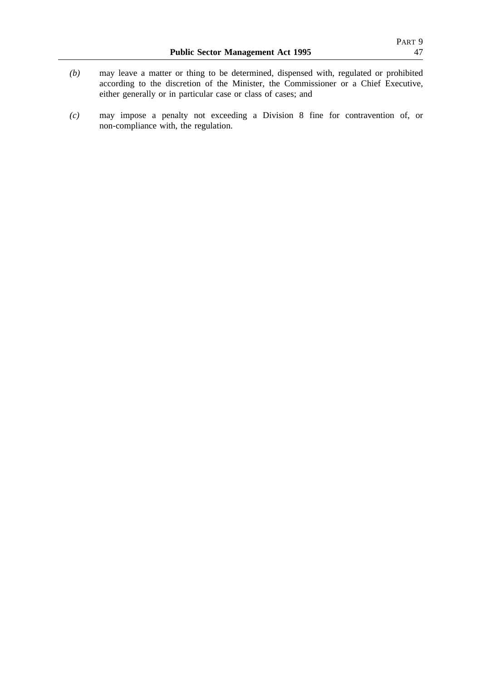- *(b)* may leave a matter or thing to be determined, dispensed with, regulated or prohibited according to the discretion of the Minister, the Commissioner or a Chief Executive, either generally or in particular case or class of cases; and
- *(c)* may impose a penalty not exceeding a Division 8 fine for contravention of, or non-compliance with, the regulation.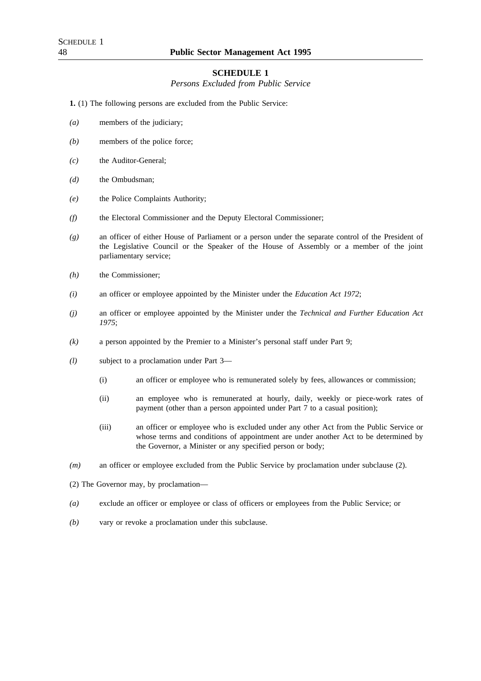### **SCHEDULE 1**

*Persons Excluded from Public Service*

**1.** (1) The following persons are excluded from the Public Service:

- *(a)* members of the judiciary;
- *(b)* members of the police force;
- *(c)* the Auditor-General;
- *(d)* the Ombudsman;
- *(e)* the Police Complaints Authority;
- *(f)* the Electoral Commissioner and the Deputy Electoral Commissioner;
- *(g)* an officer of either House of Parliament or a person under the separate control of the President of the Legislative Council or the Speaker of the House of Assembly or a member of the joint parliamentary service;
- *(h)* the Commissioner;
- *(i)* an officer or employee appointed by the Minister under the *Education Act 1972*;
- *(j)* an officer or employee appointed by the Minister under the *Technical and Further Education Act 1975*;
- *(k)* a person appointed by the Premier to a Minister's personal staff under Part 9;
- *(l)* subject to a proclamation under Part 3—
	- (i) an officer or employee who is remunerated solely by fees, allowances or commission;
	- (ii) an employee who is remunerated at hourly, daily, weekly or piece-work rates of payment (other than a person appointed under Part 7 to a casual position);
	- (iii) an officer or employee who is excluded under any other Act from the Public Service or whose terms and conditions of appointment are under another Act to be determined by the Governor, a Minister or any specified person or body;
- *(m)* an officer or employee excluded from the Public Service by proclamation under subclause (2).
- (2) The Governor may, by proclamation—
- *(a)* exclude an officer or employee or class of officers or employees from the Public Service; or
- *(b)* vary or revoke a proclamation under this subclause.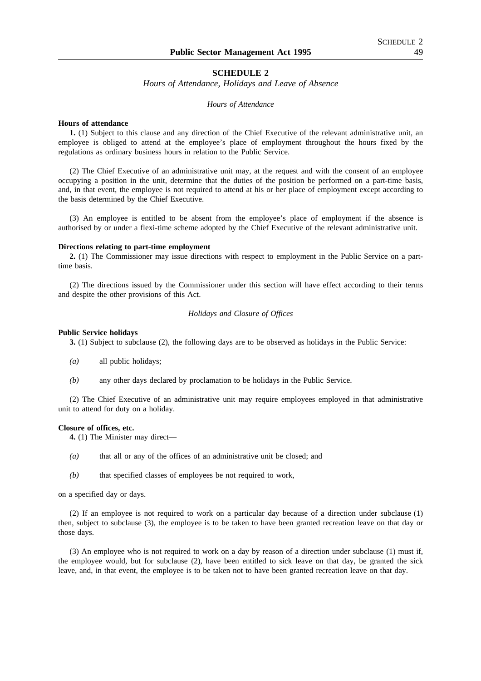### **SCHEDULE 2**

*Hours of Attendance, Holidays and Leave of Absence*

#### *Hours of Attendance*

#### **Hours of attendance**

**1.** (1) Subject to this clause and any direction of the Chief Executive of the relevant administrative unit, an employee is obliged to attend at the employee's place of employment throughout the hours fixed by the regulations as ordinary business hours in relation to the Public Service.

(2) The Chief Executive of an administrative unit may, at the request and with the consent of an employee occupying a position in the unit, determine that the duties of the position be performed on a part-time basis, and, in that event, the employee is not required to attend at his or her place of employment except according to the basis determined by the Chief Executive.

(3) An employee is entitled to be absent from the employee's place of employment if the absence is authorised by or under a flexi-time scheme adopted by the Chief Executive of the relevant administrative unit.

#### **Directions relating to part-time employment**

**2.** (1) The Commissioner may issue directions with respect to employment in the Public Service on a parttime basis.

(2) The directions issued by the Commissioner under this section will have effect according to their terms and despite the other provisions of this Act.

### *Holidays and Closure of Offices*

#### **Public Service holidays**

**3.** (1) Subject to subclause (2), the following days are to be observed as holidays in the Public Service:

- *(a)* all public holidays;
- *(b)* any other days declared by proclamation to be holidays in the Public Service.

(2) The Chief Executive of an administrative unit may require employees employed in that administrative unit to attend for duty on a holiday.

#### **Closure of offices, etc.**

**4.** (1) The Minister may direct—

- *(a)* that all or any of the offices of an administrative unit be closed; and
- *(b)* that specified classes of employees be not required to work,

on a specified day or days.

(2) If an employee is not required to work on a particular day because of a direction under subclause (1) then, subject to subclause (3), the employee is to be taken to have been granted recreation leave on that day or those days.

(3) An employee who is not required to work on a day by reason of a direction under subclause (1) must if, the employee would, but for subclause (2), have been entitled to sick leave on that day, be granted the sick leave, and, in that event, the employee is to be taken not to have been granted recreation leave on that day.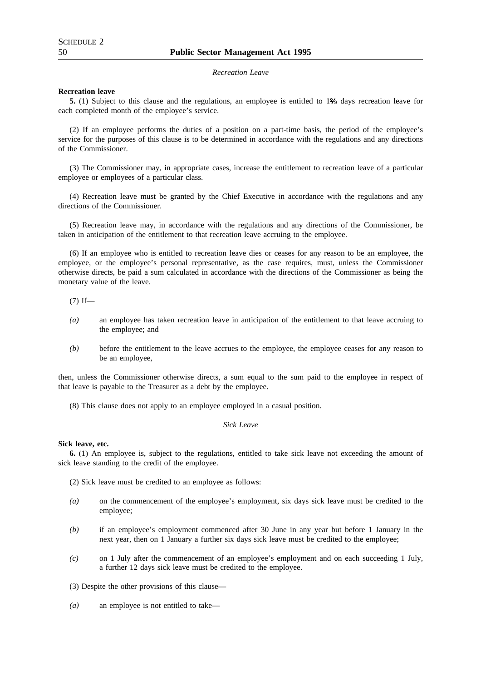#### *Recreation Leave*

#### **Recreation leave**

**5.** (1) Subject to this clause and the regulations, an employee is entitled to 1% days recreation leave for each completed month of the employee's service.

(2) If an employee performs the duties of a position on a part-time basis, the period of the employee's service for the purposes of this clause is to be determined in accordance with the regulations and any directions of the Commissioner.

(3) The Commissioner may, in appropriate cases, increase the entitlement to recreation leave of a particular employee or employees of a particular class.

(4) Recreation leave must be granted by the Chief Executive in accordance with the regulations and any directions of the Commissioner.

(5) Recreation leave may, in accordance with the regulations and any directions of the Commissioner, be taken in anticipation of the entitlement to that recreation leave accruing to the employee.

(6) If an employee who is entitled to recreation leave dies or ceases for any reason to be an employee, the employee, or the employee's personal representative, as the case requires, must, unless the Commissioner otherwise directs, be paid a sum calculated in accordance with the directions of the Commissioner as being the monetary value of the leave.

 $(7)$  If—

- *(a)* an employee has taken recreation leave in anticipation of the entitlement to that leave accruing to the employee; and
- *(b)* before the entitlement to the leave accrues to the employee, the employee ceases for any reason to be an employee,

then, unless the Commissioner otherwise directs, a sum equal to the sum paid to the employee in respect of that leave is payable to the Treasurer as a debt by the employee.

(8) This clause does not apply to an employee employed in a casual position.

#### *Sick Leave*

#### **Sick leave, etc.**

**6.** (1) An employee is, subject to the regulations, entitled to take sick leave not exceeding the amount of sick leave standing to the credit of the employee.

- (2) Sick leave must be credited to an employee as follows:
- *(a)* on the commencement of the employee's employment, six days sick leave must be credited to the employee;
- *(b)* if an employee's employment commenced after 30 June in any year but before 1 January in the next year, then on 1 January a further six days sick leave must be credited to the employee;
- *(c)* on 1 July after the commencement of an employee's employment and on each succeeding 1 July, a further 12 days sick leave must be credited to the employee.
- (3) Despite the other provisions of this clause—
- *(a)* an employee is not entitled to take—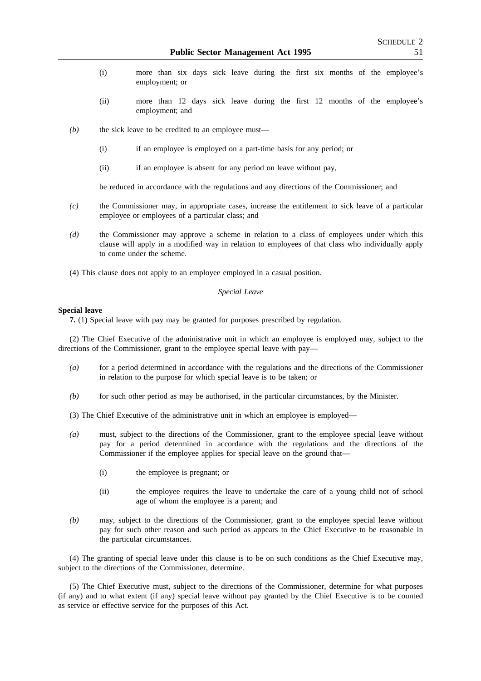- (i) more than six days sick leave during the first six months of the employee's employment; or
- (ii) more than 12 days sick leave during the first 12 months of the employee's employment; and
- *(b)* the sick leave to be credited to an employee must—
	- (i) if an employee is employed on a part-time basis for any period; or
	- (ii) if an employee is absent for any period on leave without pay,

be reduced in accordance with the regulations and any directions of the Commissioner; and

- *(c)* the Commissioner may, in appropriate cases, increase the entitlement to sick leave of a particular employee or employees of a particular class; and
- *(d)* the Commissioner may approve a scheme in relation to a class of employees under which this clause will apply in a modified way in relation to employees of that class who individually apply to come under the scheme.
- (4) This clause does not apply to an employee employed in a casual position.

### *Special Leave*

#### **Special leave**

**7.** (1) Special leave with pay may be granted for purposes prescribed by regulation.

(2) The Chief Executive of the administrative unit in which an employee is employed may, subject to the directions of the Commissioner, grant to the employee special leave with pay—

- *(a)* for a period determined in accordance with the regulations and the directions of the Commissioner in relation to the purpose for which special leave is to be taken; or
- *(b)* for such other period as may be authorised, in the particular circumstances, by the Minister.

(3) The Chief Executive of the administrative unit in which an employee is employed—

- *(a)* must, subject to the directions of the Commissioner, grant to the employee special leave without pay for a period determined in accordance with the regulations and the directions of the Commissioner if the employee applies for special leave on the ground that—
	- (i) the employee is pregnant; or
	- (ii) the employee requires the leave to undertake the care of a young child not of school age of whom the employee is a parent; and
- *(b)* may, subject to the directions of the Commissioner, grant to the employee special leave without pay for such other reason and such period as appears to the Chief Executive to be reasonable in the particular circumstances.

(4) The granting of special leave under this clause is to be on such conditions as the Chief Executive may, subject to the directions of the Commissioner, determine.

(5) The Chief Executive must, subject to the directions of the Commissioner, determine for what purposes (if any) and to what extent (if any) special leave without pay granted by the Chief Executive is to be counted as service or effective service for the purposes of this Act.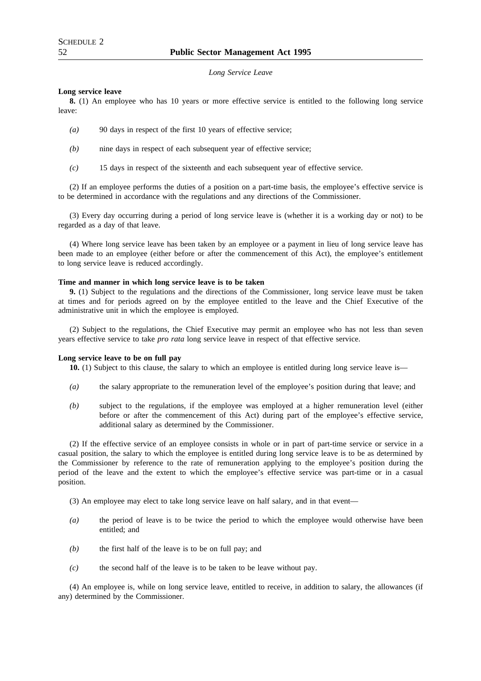*Long Service Leave*

#### **Long service leave**

**8.** (1) An employee who has 10 years or more effective service is entitled to the following long service leave:

- *(a)* 90 days in respect of the first 10 years of effective service;
- *(b)* nine days in respect of each subsequent year of effective service;
- *(c)* 15 days in respect of the sixteenth and each subsequent year of effective service.

(2) If an employee performs the duties of a position on a part-time basis, the employee's effective service is to be determined in accordance with the regulations and any directions of the Commissioner.

(3) Every day occurring during a period of long service leave is (whether it is a working day or not) to be regarded as a day of that leave.

(4) Where long service leave has been taken by an employee or a payment in lieu of long service leave has been made to an employee (either before or after the commencement of this Act), the employee's entitlement to long service leave is reduced accordingly.

### **Time and manner in which long service leave is to be taken**

**9.** (1) Subject to the regulations and the directions of the Commissioner, long service leave must be taken at times and for periods agreed on by the employee entitled to the leave and the Chief Executive of the administrative unit in which the employee is employed.

(2) Subject to the regulations, the Chief Executive may permit an employee who has not less than seven years effective service to take *pro rata* long service leave in respect of that effective service.

#### **Long service leave to be on full pay**

**10.** (1) Subject to this clause, the salary to which an employee is entitled during long service leave is—

- *(a)* the salary appropriate to the remuneration level of the employee's position during that leave; and
- *(b)* subject to the regulations, if the employee was employed at a higher remuneration level (either before or after the commencement of this Act) during part of the employee's effective service, additional salary as determined by the Commissioner.

(2) If the effective service of an employee consists in whole or in part of part-time service or service in a casual position, the salary to which the employee is entitled during long service leave is to be as determined by the Commissioner by reference to the rate of remuneration applying to the employee's position during the period of the leave and the extent to which the employee's effective service was part-time or in a casual position.

(3) An employee may elect to take long service leave on half salary, and in that event—

- *(a)* the period of leave is to be twice the period to which the employee would otherwise have been entitled; and
- *(b)* the first half of the leave is to be on full pay; and
- *(c)* the second half of the leave is to be taken to be leave without pay.

(4) An employee is, while on long service leave, entitled to receive, in addition to salary, the allowances (if any) determined by the Commissioner.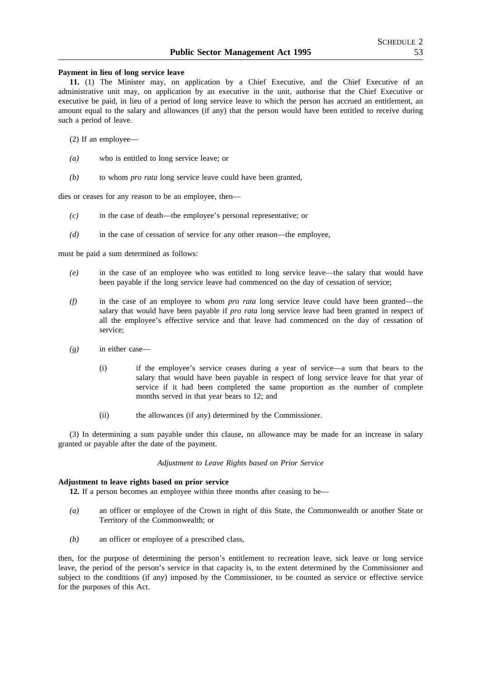#### **Payment in lieu of long service leave**

**11.** (1) The Minister may, on application by a Chief Executive, and the Chief Executive of an administrative unit may, on application by an executive in the unit, authorise that the Chief Executive or executive be paid, in lieu of a period of long service leave to which the person has accrued an entitlement, an amount equal to the salary and allowances (if any) that the person would have been entitled to receive during such a period of leave.

(2) If an employee—

- *(a)* who is entitled to long service leave; or
- *(b)* to whom *pro rata* long service leave could have been granted,

dies or ceases for any reason to be an employee, then—

- *(c)* in the case of death—the employee's personal representative; or
- *(d)* in the case of cessation of service for any other reason—the employee,

must be paid a sum determined as follows:

- *(e)* in the case of an employee who was entitled to long service leave—the salary that would have been payable if the long service leave had commenced on the day of cessation of service;
- *(f)* in the case of an employee to whom *pro rata* long service leave could have been granted—the salary that would have been payable if *pro rata* long service leave had been granted in respect of all the employee's effective service and that leave had commenced on the day of cessation of service;
- *(g)* in either case—
	- (i) if the employee's service ceases during a year of service—a sum that bears to the salary that would have been payable in respect of long service leave for that year of service if it had been completed the same proportion as the number of complete months served in that year bears to 12; and
	- (ii) the allowances (if any) determined by the Commissioner.

(3) In determining a sum payable under this clause, no allowance may be made for an increase in salary granted or payable after the date of the payment.

*Adjustment to Leave Rights based on Prior Service*

## **Adjustment to leave rights based on prior service**

**12.** If a person becomes an employee within three months after ceasing to be—

- *(a)* an officer or employee of the Crown in right of this State, the Commonwealth or another State or Territory of the Commonwealth; or
- *(b)* an officer or employee of a prescribed class,

then, for the purpose of determining the person's entitlement to recreation leave, sick leave or long service leave, the period of the person's service in that capacity is, to the extent determined by the Commissioner and subject to the conditions (if any) imposed by the Commissioner, to be counted as service or effective service for the purposes of this Act.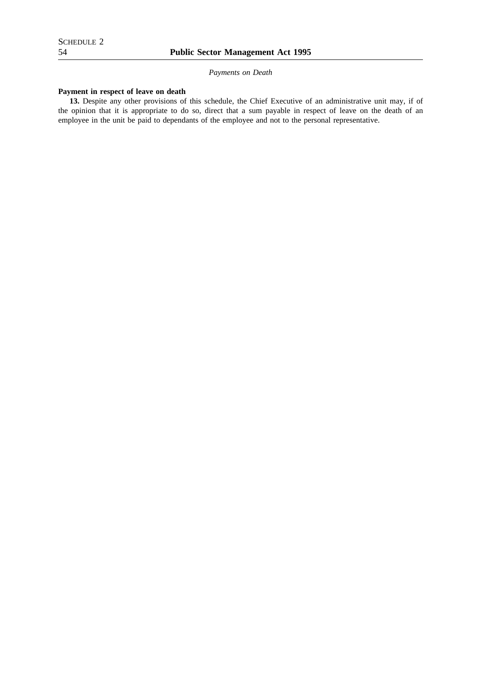*Payments on Death*

# **Payment in respect of leave on death**

**13.** Despite any other provisions of this schedule, the Chief Executive of an administrative unit may, if of the opinion that it is appropriate to do so, direct that a sum payable in respect of leave on the death of an employee in the unit be paid to dependants of the employee and not to the personal representative.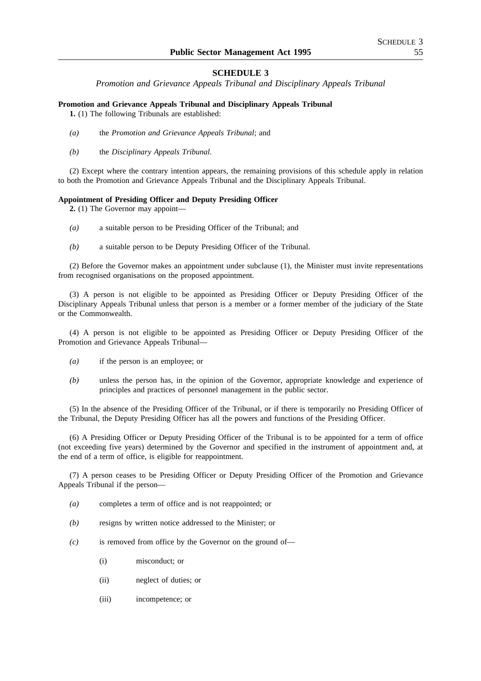# **SCHEDULE 3**

*Promotion and Grievance Appeals Tribunal and Disciplinary Appeals Tribunal*

## **Promotion and Grievance Appeals Tribunal and Disciplinary Appeals Tribunal**

**1.** (1) The following Tribunals are established:

- *(a)* the *Promotion and Grievance Appeals Tribunal*; and
- *(b)* the *Disciplinary Appeals Tribunal*.

(2) Except where the contrary intention appears, the remaining provisions of this schedule apply in relation to both the Promotion and Grievance Appeals Tribunal and the Disciplinary Appeals Tribunal.

## **Appointment of Presiding Officer and Deputy Presiding Officer**

**2.** (1) The Governor may appoint—

- *(a)* a suitable person to be Presiding Officer of the Tribunal; and
- *(b)* a suitable person to be Deputy Presiding Officer of the Tribunal.

(2) Before the Governor makes an appointment under subclause (1), the Minister must invite representations from recognised organisations on the proposed appointment.

(3) A person is not eligible to be appointed as Presiding Officer or Deputy Presiding Officer of the Disciplinary Appeals Tribunal unless that person is a member or a former member of the judiciary of the State or the Commonwealth.

(4) A person is not eligible to be appointed as Presiding Officer or Deputy Presiding Officer of the Promotion and Grievance Appeals Tribunal—

- *(a)* if the person is an employee; or
- *(b)* unless the person has, in the opinion of the Governor, appropriate knowledge and experience of principles and practices of personnel management in the public sector.

(5) In the absence of the Presiding Officer of the Tribunal, or if there is temporarily no Presiding Officer of the Tribunal, the Deputy Presiding Officer has all the powers and functions of the Presiding Officer.

(6) A Presiding Officer or Deputy Presiding Officer of the Tribunal is to be appointed for a term of office (not exceeding five years) determined by the Governor and specified in the instrument of appointment and, at the end of a term of office, is eligible for reappointment.

(7) A person ceases to be Presiding Officer or Deputy Presiding Officer of the Promotion and Grievance Appeals Tribunal if the person—

- *(a)* completes a term of office and is not reappointed; or
- *(b)* resigns by written notice addressed to the Minister; or
- *(c)* is removed from office by the Governor on the ground of—
	- (i) misconduct; or
	- (ii) neglect of duties; or
	- (iii) incompetence; or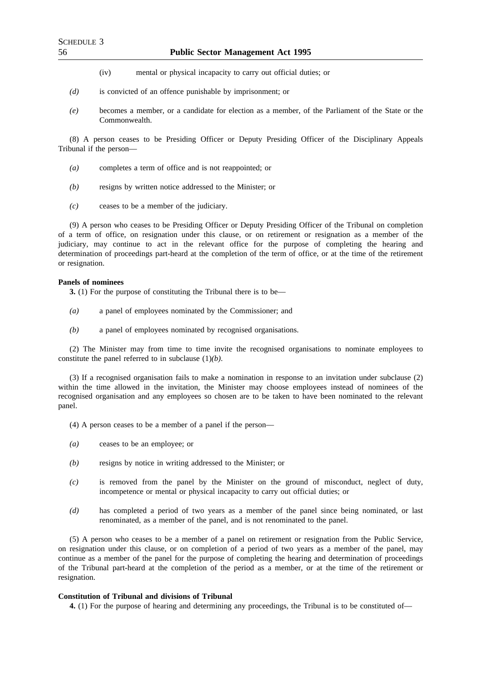- (iv) mental or physical incapacity to carry out official duties; or
- *(d)* is convicted of an offence punishable by imprisonment; or
- *(e)* becomes a member, or a candidate for election as a member, of the Parliament of the State or the Commonwealth.

(8) A person ceases to be Presiding Officer or Deputy Presiding Officer of the Disciplinary Appeals Tribunal if the person—

- *(a)* completes a term of office and is not reappointed; or
- *(b)* resigns by written notice addressed to the Minister; or
- *(c)* ceases to be a member of the judiciary.

(9) A person who ceases to be Presiding Officer or Deputy Presiding Officer of the Tribunal on completion of a term of office, on resignation under this clause, or on retirement or resignation as a member of the judiciary, may continue to act in the relevant office for the purpose of completing the hearing and determination of proceedings part-heard at the completion of the term of office, or at the time of the retirement or resignation.

### **Panels of nominees**

**3.** (1) For the purpose of constituting the Tribunal there is to be—

- *(a)* a panel of employees nominated by the Commissioner; and
- *(b)* a panel of employees nominated by recognised organisations.

(2) The Minister may from time to time invite the recognised organisations to nominate employees to constitute the panel referred to in subclause (1)*(b)*.

(3) If a recognised organisation fails to make a nomination in response to an invitation under subclause (2) within the time allowed in the invitation, the Minister may choose employees instead of nominees of the recognised organisation and any employees so chosen are to be taken to have been nominated to the relevant panel.

- (4) A person ceases to be a member of a panel if the person—
- *(a)* ceases to be an employee; or
- *(b)* resigns by notice in writing addressed to the Minister; or
- *(c)* is removed from the panel by the Minister on the ground of misconduct, neglect of duty, incompetence or mental or physical incapacity to carry out official duties; or
- *(d)* has completed a period of two years as a member of the panel since being nominated, or last renominated, as a member of the panel, and is not renominated to the panel.

(5) A person who ceases to be a member of a panel on retirement or resignation from the Public Service, on resignation under this clause, or on completion of a period of two years as a member of the panel, may continue as a member of the panel for the purpose of completing the hearing and determination of proceedings of the Tribunal part-heard at the completion of the period as a member, or at the time of the retirement or resignation.

### **Constitution of Tribunal and divisions of Tribunal**

**4.** (1) For the purpose of hearing and determining any proceedings, the Tribunal is to be constituted of—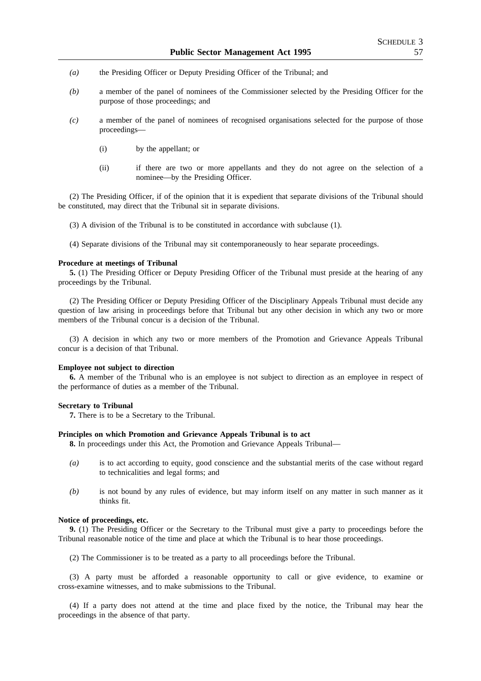- *(a)* the Presiding Officer or Deputy Presiding Officer of the Tribunal; and
- *(b)* a member of the panel of nominees of the Commissioner selected by the Presiding Officer for the purpose of those proceedings; and
- *(c)* a member of the panel of nominees of recognised organisations selected for the purpose of those proceedings—
	- (i) by the appellant; or
	- (ii) if there are two or more appellants and they do not agree on the selection of a nominee—by the Presiding Officer.

(2) The Presiding Officer, if of the opinion that it is expedient that separate divisions of the Tribunal should be constituted, may direct that the Tribunal sit in separate divisions.

(3) A division of the Tribunal is to be constituted in accordance with subclause (1).

(4) Separate divisions of the Tribunal may sit contemporaneously to hear separate proceedings.

#### **Procedure at meetings of Tribunal**

**5.** (1) The Presiding Officer or Deputy Presiding Officer of the Tribunal must preside at the hearing of any proceedings by the Tribunal.

(2) The Presiding Officer or Deputy Presiding Officer of the Disciplinary Appeals Tribunal must decide any question of law arising in proceedings before that Tribunal but any other decision in which any two or more members of the Tribunal concur is a decision of the Tribunal.

(3) A decision in which any two or more members of the Promotion and Grievance Appeals Tribunal concur is a decision of that Tribunal.

#### **Employee not subject to direction**

**6.** A member of the Tribunal who is an employee is not subject to direction as an employee in respect of the performance of duties as a member of the Tribunal.

#### **Secretary to Tribunal**

**7.** There is to be a Secretary to the Tribunal.

#### **Principles on which Promotion and Grievance Appeals Tribunal is to act**

**8.** In proceedings under this Act, the Promotion and Grievance Appeals Tribunal—

- *(a)* is to act according to equity, good conscience and the substantial merits of the case without regard to technicalities and legal forms; and
- *(b)* is not bound by any rules of evidence, but may inform itself on any matter in such manner as it thinks fit.

## **Notice of proceedings, etc.**

**9.** (1) The Presiding Officer or the Secretary to the Tribunal must give a party to proceedings before the Tribunal reasonable notice of the time and place at which the Tribunal is to hear those proceedings.

(2) The Commissioner is to be treated as a party to all proceedings before the Tribunal.

(3) A party must be afforded a reasonable opportunity to call or give evidence, to examine or cross-examine witnesses, and to make submissions to the Tribunal.

(4) If a party does not attend at the time and place fixed by the notice, the Tribunal may hear the proceedings in the absence of that party.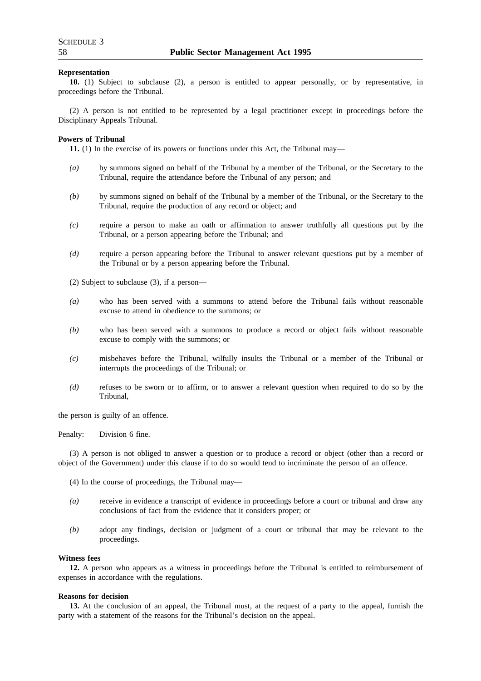#### **Representation**

**10.** (1) Subject to subclause (2), a person is entitled to appear personally, or by representative, in proceedings before the Tribunal.

(2) A person is not entitled to be represented by a legal practitioner except in proceedings before the Disciplinary Appeals Tribunal.

#### **Powers of Tribunal**

**11.** (1) In the exercise of its powers or functions under this Act, the Tribunal may—

- *(a)* by summons signed on behalf of the Tribunal by a member of the Tribunal, or the Secretary to the Tribunal, require the attendance before the Tribunal of any person; and
- *(b)* by summons signed on behalf of the Tribunal by a member of the Tribunal, or the Secretary to the Tribunal, require the production of any record or object; and
- *(c)* require a person to make an oath or affirmation to answer truthfully all questions put by the Tribunal, or a person appearing before the Tribunal; and
- *(d)* require a person appearing before the Tribunal to answer relevant questions put by a member of the Tribunal or by a person appearing before the Tribunal.

(2) Subject to subclause (3), if a person—

- *(a)* who has been served with a summons to attend before the Tribunal fails without reasonable excuse to attend in obedience to the summons; or
- *(b)* who has been served with a summons to produce a record or object fails without reasonable excuse to comply with the summons; or
- *(c)* misbehaves before the Tribunal, wilfully insults the Tribunal or a member of the Tribunal or interrupts the proceedings of the Tribunal; or
- *(d)* refuses to be sworn or to affirm, or to answer a relevant question when required to do so by the Tribunal,

the person is guilty of an offence.

Penalty: Division 6 fine.

(3) A person is not obliged to answer a question or to produce a record or object (other than a record or object of the Government) under this clause if to do so would tend to incriminate the person of an offence.

- (4) In the course of proceedings, the Tribunal may—
- *(a)* receive in evidence a transcript of evidence in proceedings before a court or tribunal and draw any conclusions of fact from the evidence that it considers proper; or
- *(b)* adopt any findings, decision or judgment of a court or tribunal that may be relevant to the proceedings.

#### **Witness fees**

**12.** A person who appears as a witness in proceedings before the Tribunal is entitled to reimbursement of expenses in accordance with the regulations.

#### **Reasons for decision**

**13.** At the conclusion of an appeal, the Tribunal must, at the request of a party to the appeal, furnish the party with a statement of the reasons for the Tribunal's decision on the appeal.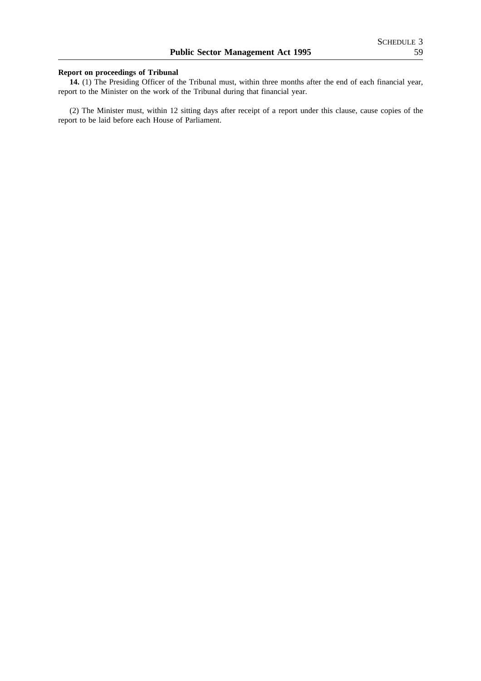# **Report on proceedings of Tribunal**

**14.** (1) The Presiding Officer of the Tribunal must, within three months after the end of each financial year, report to the Minister on the work of the Tribunal during that financial year.

(2) The Minister must, within 12 sitting days after receipt of a report under this clause, cause copies of the report to be laid before each House of Parliament.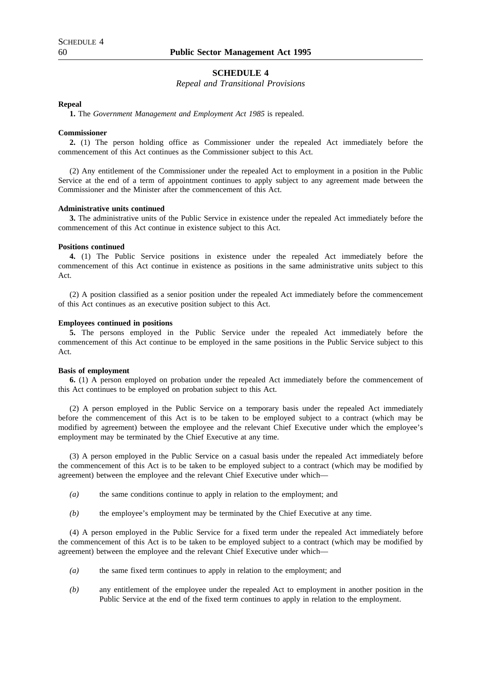# **SCHEDULE 4**

### *Repeal and Transitional Provisions*

#### **Repeal**

**1.** The *Government Management and Employment Act 1985* is repealed.

#### **Commissioner**

**2.** (1) The person holding office as Commissioner under the repealed Act immediately before the commencement of this Act continues as the Commissioner subject to this Act.

(2) Any entitlement of the Commissioner under the repealed Act to employment in a position in the Public Service at the end of a term of appointment continues to apply subject to any agreement made between the Commissioner and the Minister after the commencement of this Act.

### **Administrative units continued**

**3.** The administrative units of the Public Service in existence under the repealed Act immediately before the commencement of this Act continue in existence subject to this Act.

#### **Positions continued**

**4.** (1) The Public Service positions in existence under the repealed Act immediately before the commencement of this Act continue in existence as positions in the same administrative units subject to this Act.

(2) A position classified as a senior position under the repealed Act immediately before the commencement of this Act continues as an executive position subject to this Act.

#### **Employees continued in positions**

**5.** The persons employed in the Public Service under the repealed Act immediately before the commencement of this Act continue to be employed in the same positions in the Public Service subject to this Act.

#### **Basis of employment**

**6.** (1) A person employed on probation under the repealed Act immediately before the commencement of this Act continues to be employed on probation subject to this Act.

(2) A person employed in the Public Service on a temporary basis under the repealed Act immediately before the commencement of this Act is to be taken to be employed subject to a contract (which may be modified by agreement) between the employee and the relevant Chief Executive under which the employee's employment may be terminated by the Chief Executive at any time.

(3) A person employed in the Public Service on a casual basis under the repealed Act immediately before the commencement of this Act is to be taken to be employed subject to a contract (which may be modified by agreement) between the employee and the relevant Chief Executive under which—

- *(a)* the same conditions continue to apply in relation to the employment; and
- *(b)* the employee's employment may be terminated by the Chief Executive at any time.

(4) A person employed in the Public Service for a fixed term under the repealed Act immediately before the commencement of this Act is to be taken to be employed subject to a contract (which may be modified by agreement) between the employee and the relevant Chief Executive under which—

- *(a)* the same fixed term continues to apply in relation to the employment; and
- *(b)* any entitlement of the employee under the repealed Act to employment in another position in the Public Service at the end of the fixed term continues to apply in relation to the employment.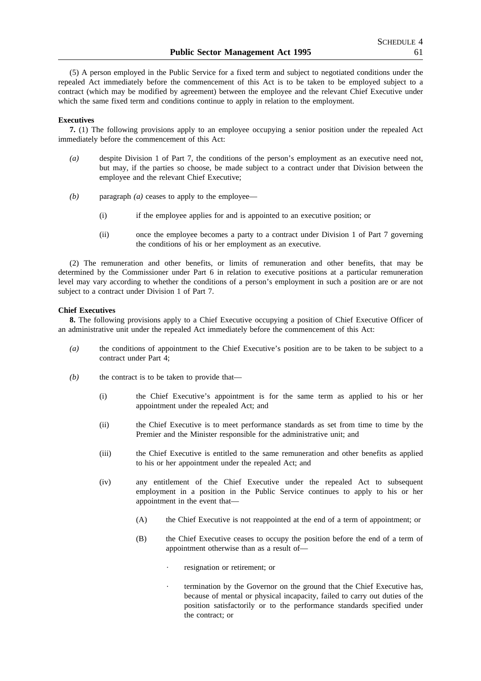(5) A person employed in the Public Service for a fixed term and subject to negotiated conditions under the repealed Act immediately before the commencement of this Act is to be taken to be employed subject to a contract (which may be modified by agreement) between the employee and the relevant Chief Executive under which the same fixed term and conditions continue to apply in relation to the employment.

#### **Executives**

**7.** (1) The following provisions apply to an employee occupying a senior position under the repealed Act immediately before the commencement of this Act:

- *(a)* despite Division 1 of Part 7, the conditions of the person's employment as an executive need not, but may, if the parties so choose, be made subject to a contract under that Division between the employee and the relevant Chief Executive;
- *(b)* paragraph *(a)* ceases to apply to the employee—
	- (i) if the employee applies for and is appointed to an executive position; or
	- (ii) once the employee becomes a party to a contract under Division 1 of Part 7 governing the conditions of his or her employment as an executive.

(2) The remuneration and other benefits, or limits of remuneration and other benefits, that may be determined by the Commissioner under Part 6 in relation to executive positions at a particular remuneration level may vary according to whether the conditions of a person's employment in such a position are or are not subject to a contract under Division 1 of Part 7.

#### **Chief Executives**

**8.** The following provisions apply to a Chief Executive occupying a position of Chief Executive Officer of an administrative unit under the repealed Act immediately before the commencement of this Act:

- *(a)* the conditions of appointment to the Chief Executive's position are to be taken to be subject to a contract under Part 4;
- *(b)* the contract is to be taken to provide that—
	- (i) the Chief Executive's appointment is for the same term as applied to his or her appointment under the repealed Act; and
	- (ii) the Chief Executive is to meet performance standards as set from time to time by the Premier and the Minister responsible for the administrative unit; and
	- (iii) the Chief Executive is entitled to the same remuneration and other benefits as applied to his or her appointment under the repealed Act; and
	- (iv) any entitlement of the Chief Executive under the repealed Act to subsequent employment in a position in the Public Service continues to apply to his or her appointment in the event that—
		- (A) the Chief Executive is not reappointed at the end of a term of appointment; or
		- (B) the Chief Executive ceases to occupy the position before the end of a term of appointment otherwise than as a result of
			- resignation or retirement; or
			- termination by the Governor on the ground that the Chief Executive has, because of mental or physical incapacity, failed to carry out duties of the position satisfactorily or to the performance standards specified under the contract; or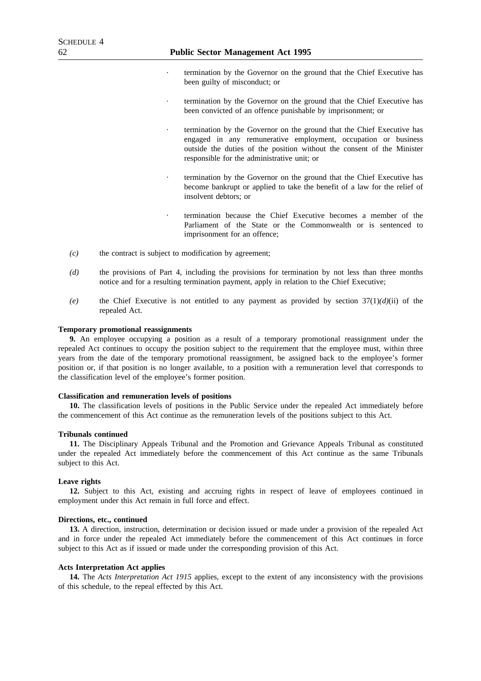- termination by the Governor on the ground that the Chief Executive has been guilty of misconduct; or
- termination by the Governor on the ground that the Chief Executive has been convicted of an offence punishable by imprisonment; or
- termination by the Governor on the ground that the Chief Executive has engaged in any remunerative employment, occupation or business outside the duties of the position without the consent of the Minister responsible for the administrative unit; or
- termination by the Governor on the ground that the Chief Executive has become bankrupt or applied to take the benefit of a law for the relief of insolvent debtors; or
- termination because the Chief Executive becomes a member of the Parliament of the State or the Commonwealth or is sentenced to imprisonment for an offence;
- *(c)* the contract is subject to modification by agreement;
- *(d)* the provisions of Part 4, including the provisions for termination by not less than three months notice and for a resulting termination payment, apply in relation to the Chief Executive;
- *(e)* the Chief Executive is not entitled to any payment as provided by section 37(1)*(d)*(ii) of the repealed Act.

#### **Temporary promotional reassignments**

**9.** An employee occupying a position as a result of a temporary promotional reassignment under the repealed Act continues to occupy the position subject to the requirement that the employee must, within three years from the date of the temporary promotional reassignment, be assigned back to the employee's former position or, if that position is no longer available, to a position with a remuneration level that corresponds to the classification level of the employee's former position.

#### **Classification and remuneration levels of positions**

**10.** The classification levels of positions in the Public Service under the repealed Act immediately before the commencement of this Act continue as the remuneration levels of the positions subject to this Act.

#### **Tribunals continued**

**11.** The Disciplinary Appeals Tribunal and the Promotion and Grievance Appeals Tribunal as constituted under the repealed Act immediately before the commencement of this Act continue as the same Tribunals subject to this Act.

## **Leave rights**

**12.** Subject to this Act, existing and accruing rights in respect of leave of employees continued in employment under this Act remain in full force and effect.

### **Directions, etc., continued**

**13.** A direction, instruction, determination or decision issued or made under a provision of the repealed Act and in force under the repealed Act immediately before the commencement of this Act continues in force subject to this Act as if issued or made under the corresponding provision of this Act.

#### **Acts Interpretation Act applies**

**14.** The *Acts Interpretation Act 1915* applies, except to the extent of any inconsistency with the provisions of this schedule, to the repeal effected by this Act.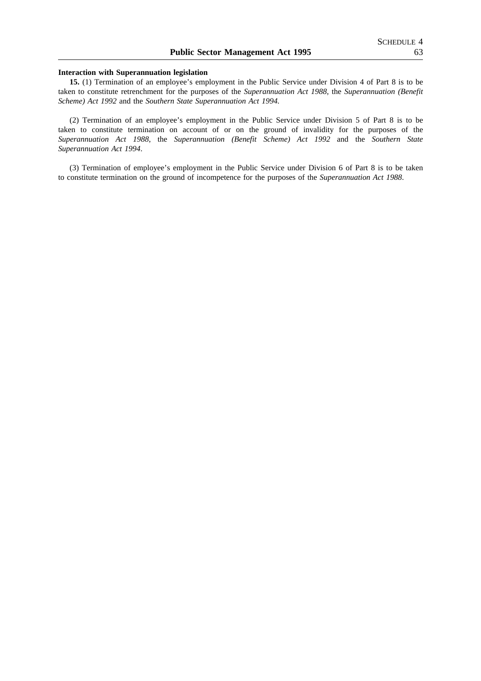#### **Interaction with Superannuation legislation**

**15.** (1) Termination of an employee's employment in the Public Service under Division 4 of Part 8 is to be taken to constitute retrenchment for the purposes of the *Superannuation Act 1988*, the *Superannuation (Benefit Scheme) Act 1992* and the *Southern State Superannuation Act 1994.*

(2) Termination of an employee's employment in the Public Service under Division 5 of Part 8 is to be taken to constitute termination on account of or on the ground of invalidity for the purposes of the *Superannuation Act 1988*, the *Superannuation (Benefit Scheme) Act 1992* and the *Southern State Superannuation Act 1994*.

(3) Termination of employee's employment in the Public Service under Division 6 of Part 8 is to be taken to constitute termination on the ground of incompetence for the purposes of the *Superannuation Act 1988*.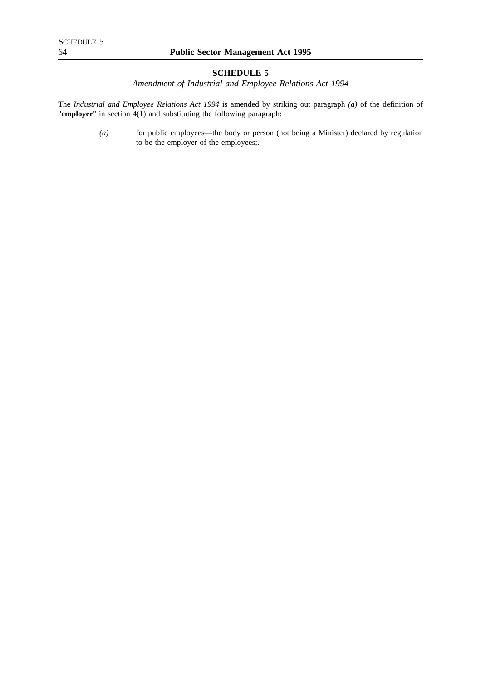# **SCHEDULE 5**

*Amendment of Industrial and Employee Relations Act 1994*

The *Industrial and Employee Relations Act 1994* is amended by striking out paragraph *(a)* of the definition of "**employer**" in section 4(1) and substituting the following paragraph:

> *(a)* for public employees—the body or person (not being a Minister) declared by regulation to be the employer of the employees;.